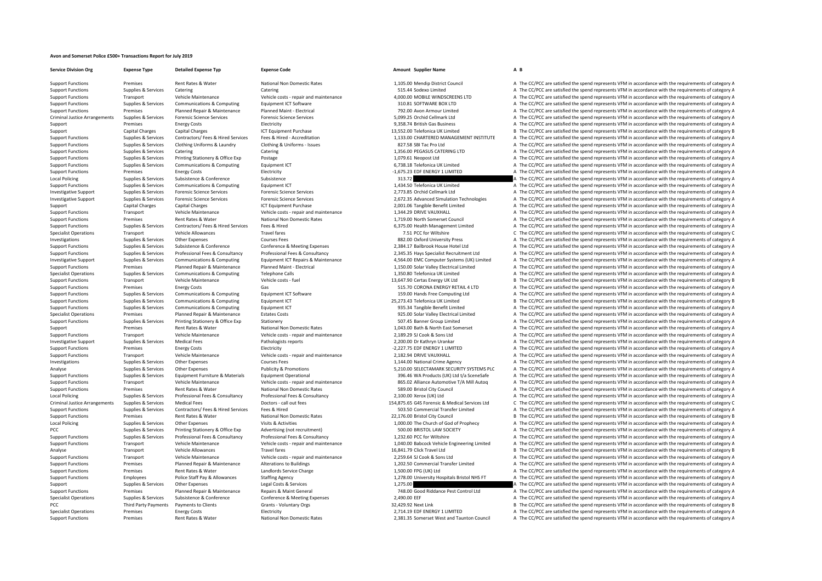## **Avon and Somerset Police £500+ Transactions Report for July 2019**

**Service Division Org Expense Type Detailed Expense Typ Expense Code Amount Supplier Name A B**

Support Functions Premises Rent Rates & Water National Non Domestic Rates 1,105.00 Mendip District Council A The CC/PCC are satisfied the spend represents VFM in accordance with the requirements of category A

Support Functions Supplies & Services Catering Catering Catering Catering Catering Catering Catering Catering Catering Catering Catering Catering Catering Catering Catering Catering Catering Catering Catering Category A Th Support Functions Transport Vehicle Maintenance Vehicle costs – repair and maintenance Vehicle costs – repair and maintenance 4,000.00 MOBILE WINDSCREENS LTD A The CC/PCC are satisfied the spend represents VFM in accordanc Support Functions Supplies & Services Communications & Computing For Formulations and the Software 5 Support Tunck and the Services of category A The CC/PCC are satisfied the spend represents VFM in accordance with the req Support Functions Premises Planned Repair & Maintenance Planned Maint ‐ Electrical 792.00 Avon Armour Limited A The CC/PCC are satisfied the spend represents VFM in accordance with the requirements of category A Criminal Justice Arrangements Sunnlies & Services Forensic Sciences Forensic Science Services Forensic Science Services Forensic Science Services Forensic Science Services 5.099.75 Criminal cellmark I td A The CC/PCC are s Support Premises Energy Costs Electricity Electricity entity 9,358.74 British Gas Business A The CC/PCC are satisfied the spend represents VFM in accordance with the requirements of category A The Costs and the requirement Support Capital Charges Capital Charges ICT Equipment Purchase 13,552.00 Telefonica UK Limited B The CC/PCC are satisfied the spend represents VFM in accordance with the requirements of category B Support Functions Supplies & Services Contractors/ Fees & Hired Services Fees & Hired Accreditation 1.133.00 CHARTERED MANAGEMENT INSTITUTE A The CC/PCC are satisfied the spend represents VFM in accordance with the require Support Functions Supplies & Services Clothing Uniforms & Laundry Clothing & Uniforms ‐ Issues 827.58 SBI Tac Pro Ltd A The CC/PCC are satisfied the spend represents VFM in accordance with the requirements of category A Support Functions Supplies & Services Catering Catering Catering Catering Catering Catering Catering Catering Catering Catering Catering Catering Catering Catering Catering Catering Catering Catering Catering Catering Cate Support Functions Supplies & Services Printing Stationery & Office Exp Postage 1,079.61 Neopost Ltd 1,079.61 Neopost Ltd A The CC/PCC are satisfied the spend represents VFM in accordance with the requirements of category A Support Functions Supplies & Services Communications & Computing Equipment ICT 6,738.18 Telefonica UK Limited A The CC/PCC are satisfied the spend represents VFM in accordance with the requirements of category A The commun Support Functions Premises Energy Costs Electricity Electricity Electricity Electricity Electricity Electricity and the Support Electricity and the CC/PCC are satisfied the spend represents VFM in accordance with the requi Local Policing Supplies & Supplies & Subsistence Subsistence Subsistence Subsistence Subsistence Subsistence Subsistence Subsistence Subsistence Subsistence Subsistence Subsistence Subsistence Subsistence Subsistence Subsi Support Functions Supplies & Services Communications & Computing Equipment ICT equipment CT 1,434.50 Telefonica UK Limited A The CC/PCC are satisfied the spend represents VFM in accordance with the requirements of category Investigative Support Support Support Services Forensic Science Services Forensic Science Services Forensic Science Services 2,773.85 Orchid Cellmark Ltd A The CC/PCC are satisfied the spend represents VFM in accordance wi Investigative Support Supplies & Services Forensic Sciences Forensic Sciences Services Forensic Science Services Forensic Science Services Forensic Science Services (2.672.35 Advanced Simulation Technologies A The CC/PCC a Support Capital Charges Capital Charges 2001 CT Equipment Purchase 2,001.06 Tangible Benefit Limited A The CC/PCC are satisfied the spend represents VFM in accordance with the requirements of category A Support Functions Transport Vehicle Maintenance Vehicle costs - repair and maintenance 1,344.29 DRIVE VAUXHALL A The CC/PCC are satisfied the spend represents VFM in accordance with the requirements of category A The CL/PC Premises Rent Rates & Water National Non Domestic Rates 1,719.00 North Somerset Council A The CC/PCC are satisfied the spend represents VFM in accordance with the requirements of category A Support Functions Supplies & Services Contractors/ Fees & Hired Services Fees & Hired 6,375.00 Health Management Limited A The CC/PCC are satisfied the spend represents VFM in accordance with the requirements of category A Specialist Operations Transport Vehicle Allowances Travel fares Travel fares Travel fares Travel fares Travel fares and the content of category C The CC/PCC are satisfied the spend represents VFM in accordance with the req Investigations Supplies A Services Other Expenses Courses Fees Courses Fees Courses Fees a SALED Oxford University Press A The CC/PCC are satisfied the spend represents VFM in accordance with the requirements of category A A The CC/PCC are satisfied the spend represents VFM in accordance with the requirements of category A Support Functions Supplies & Services Professional Fees & Consultancy Professional Fees & Consultancy Professional Fees & Consultancy Professional Fees & Consultancy Professional Fees & Consultancy Professional Fees & Cons Investigative Support Support Supporter Supporters & Communications & Computing Equipment ICT Repairs & Maintenance 4.564.00 EMC Computer Systems (UK) Limited A The CC/PCC are satisfied the spend represents VFM in accordan Premises Planned Repair & Maintenance Planned Maint - Electrical and the control of the COPCC are satisfied the spend represents VFM in accordance with the requirements of category A<br>Precialist Operations Supplies & Servic Specialist Operations Supplies & Services Communications & Computing Telephone Calls 1,350.80 Telefonica UK Limited A The CC/PCC are satisfied the spend represents VFM in accordance with the requirements of category A Support Functions Transport Vehicle Maintenance Vehicle costs – fuel Vehicle costs – fuel 13,647.90 Certas Energy UK Ltd B The CC/PCC are satisfied the spend represents VFM in accordance with the requirements of category B Support Functions Premises Energy Costs Gas Gas Stategory A The CORONA ENERGY RETAIL 4 LTD A The CC/PCC are satisfied the spend represents VFM in accordance with the requirements of category A Support Functions Supplies & Services Communications & Computing Equipment ICT Software 159.00 Hands Free Computing Ltd A The CC/PCC are satisfied the spend represents VFM in accordance with the requirements of category A Support Functions Supplies & Services Communications & Computing Equipment ICT 25,273.43 Telefonica UK Limited B The CC/PCC are satisfied the spend represents VFM in accordance with the requirements of category B Support Functions Supplies & Services Communications & Computing Equipment ICT 935.34 Tangible Benefit Limited A The CC/PCC are satisfied the spend represents VFM in accordance with the requirements of category A The Crip Specialist Operations Premises Planned Repair & Maintenance Estates Costs 925.00 Solar Valley Electrical Limited A The CC/PCC are satisfied the spend represents VFM in accordance with the requirements of category A Support Functions Supplies & Services Printing Stationery & Office Exp Stationery Stationery Stationery Stationery Support Functions and the CC/PCC are satisfied the spend represents VFM in accordance with the requirements Support Premises Rent Rates & Water National Non Domestic Rates A The Math 2,1043.00 Bath & North East Somerset A The CC/PCC are satisfied the spend represents VFM in accordance with the requirements of category A Vehicle Support Transport Vehicle Maintenance Vehicle costs ‐ repair and maintenance 2,189.29 SJ Cook & Sons Ltd A The CC/PCC are satisfied the spend represents VFM in accordance with the requirements of category A The Criteria an Investigative Support Supplies & Services Medical Fees Pathologists reports 2,200.00 Dr Kathryn Urankar A The CC/PCC are satisfied the spend represents VFM in accordance with the requirements of category A Support Functions Premises Energy Costs Electricity Electricity Electricity Electricity Electricity entergy and the requirements of category A The CC/PCC are satisfied the spend represents VFM in accordance with the requir Support Functions Transport Vehicle Maintenance Vehicle Costs - repair and maintenance Vehicle Costs - repair and maintenance 2,182.94 DRIVE VAUXHALL A The CC/PCC are satisfied the spend represents VFM in accordance with t Investigations Supplies & Services Other Expenses Courses Fees Courses Fees 1,144.00 National Crime Agency A The CC/PCC are satisfied the spend represents VFM in accordance with the requirements of category A Analyse Supplies & Services Other Expenses Publicity & Promotions Publicity & Promotions 5,210.00 SELECTAMARK SECURITY SYSTEMS PLC A The CC/PCC are satisfied the spend represents VFM in accordance with the requirements of Support Functions Supplies & Services Equipment Furniture & Materials Equipment Operational Equipment Operational equipment Operational and anintenance 396.46 WA Products (UK) Ltd t/a SceneSafe A The CC/PCC are satisfied t Summer Exercises Transport and Maintenance Schicle Maintenance Schicle Costs - renair and maintenance and a set and a set of the COPCC are satisfied the spend represents VFM in accordance with the requirements of category Support Functions Premises Rent Rates & Water National Non Domestic Rates 589.00 Bristol City Council A The CC/PCC are satisfied the spend represents VFM in accordance with the requirements of category A Local Policing Supplies & Services Professional Fees & Consultancy Professional Fees & Consultancy Professional Fees & Consultancy Professional Fees & Consultancy Professional Fees & Consultancy Professional Fees & Consult Criminal Justice Arrangements Supplies & Services Medical Fees Doctors ‐ call out fees 154,875.65 G4S Forensic & Medical Services Ltd C The CC/PCC are satisfied the spend represents VFM in accordance with the requirements of category C Support Functions Support Functions Support Functions Support Transfer A The CC/PCC are satisfied the spend represents VFM in accordance with the requirements of category A Support Functions Premises Rent Rates & Water National Non Domestic Rates 22,176.00 Bristol City Council B The CC/PCC are satisfied the spend represents VFM in accordance with the requirements of category B Local Policing Supplies & Services Other Expenses Visits & Activities Visits & Activities 1,000.00 The Church of God of Prophecy A The CC/PCC are satisfied the spend represents VFM in accordance with the requirements of ca PCC Supplies & Services Printing Stationery & Office Exp Advertising (not recruitment) 500.00 BRISTOL LAW SOCIETY A The CC/PCC are satisfied the spend represents VFM in accordance with the requirements of category A Suppliers & Services Professional Fees & Consultancy Professional Fees & Consultancy Professional Fees & Consultancy Professional Fees & Consultancy Professional Fees & Consultancy Professional Fees & Consultancy Professio Transport Vehicle Maintenance Vehicle costs - repair and maintenance 2010 1,040.00 Babcock Vehicle Engineering Limited A The CC/PCC are satisfied the spend represents VFM in accordance with the requirements of category A Analyse Transport Vehicle Allowances Travel fares Travel fares 16,841.79 Click Travel Ltd B The CC/PCC are satisfied the spend represents VFM in accordance with the requirements of category B Support Functions Transport Vehicle Maintenance Vehicle costs ‐ repair and maintenance 2,259.64 SJ Cook & Sons Ltd A The CC/PCC are satisfied the spend represents VFM in accordance with the requirements of category A Support Functions Premises Planned Repair & Maintenance Alterations to Buildings 1,202.50 Commercial Transfer Limited A The CC/PCC are satisfied the spend represents VFM in accordance with the requirements of category A Support Functions Premises Rent Rates & Water Landlords Service Charge 1,500.00 FPG (UK) Ltd A The CC/PCC are satisfied the spend represents VFM in accordance with the requirements of category A Support Functions Employees Police Staff Pay & Allowances Staffing Agency Support Employees Staffing Agency Support Functions 1,278.00 University Hospitals Bristol NHS FT A The CC/PCC are satisfied the spend represents VFM Support Supplies & Services Other Expenses Legal Costs & Services 1,275.00 A The CC/PCC are satisfied the spend represents VFM in accordance with the requirements of category A Support Functions Premises Planned Repair & Maintenance Repairs & Maint General Repairs & Maint General Repairs & Maint General 748.00 Good Riddance Pest Control Ltd A The CC/PCC are satisfied the spend represents VFM in a A The CC/PCC are satisfied the spend represents VFM in accordance with the requirements of category A PCC Third Party Payments in Payments to Clients Grants - Voluntary Orgs 32,429,92 Next Link B The CC/PCC are satisfied the spend represents VFM in accordance with the requirements of category B Specialist Operations Premises Energy Costs Electricity Electricity Electricity Electricity 2,714.19 EDF ENERGY 1 LIMITED A The CC/PCC are satisfied the spend represents VFM in accordance with the requirements of category Support Functions Premises Rent Rates & Water National Non Domestic Rates 2,381.35 Somerset West and Taunton Council A The CC/PCC are satisfied the spend represents VFM in accordance with the requirements of category A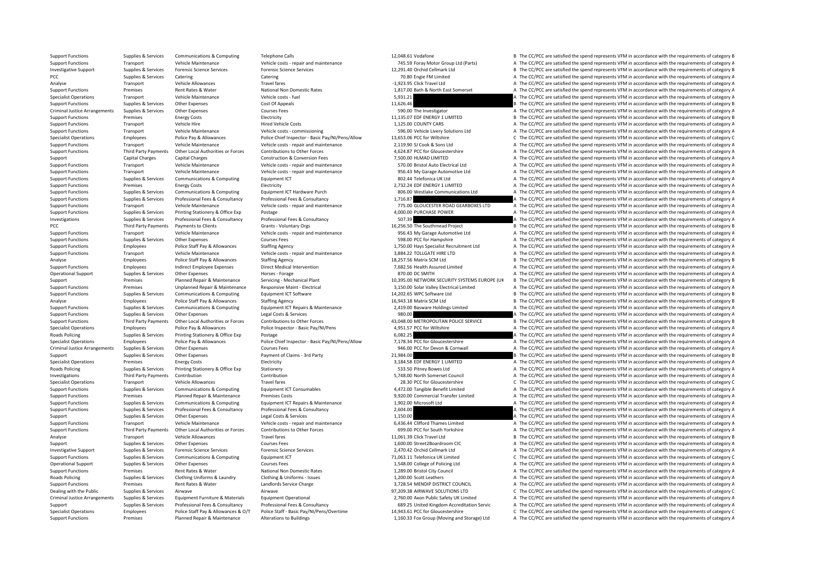Support Functions Supplies & Services Communications & Computing Telephone Calls 12,048.61 Vodafone 12,048.61 Vodafone B The CC/PCC are satisfied the spend represents VFM in accordance with the requirements of category B

Support Eurotions Transport Vehicle Maintenance Vehicle costs-repair and maintenance Vehicle costs-repair and maintenance Vehicle costs-repair and maintenance 745.59 Foray Motor Group Ltd (Parts) A The CC/PCC are satisfied Investigative Support Support Support Supportes Forensic Science Services Forensic Science Services Forensic Science Services Forensic Science Services Forensic Science Services (and Support of the Support of the Support o

PCC Supplies A Supplies A Services Catering Catering Catering Catering Catering Catering Catering Catering Catering Catering Catering Catering Catering Catering Catering Catering Catering and the computation of the Categor Analyse Click Transport Vehicle Allowances Travel fares Frame Travel fares and the spend represents VFM in accordance with the requirements of category A The CC/PCC are satisfied the spend represents VFM in accordance with Support Functions Premises Rent Rates & Water National Non Domestic Rates 1,817.00 Bath & North East Somerset A The CC/PCC are satisfied the spend represents VFM in accordance with the requirements of category A Specialist Operations Transport Vehicle Maintenance Vehicle costs – fuel Vehicle costs – fuel Vehicle costs – fuel Spend The CC/PCC are satisfied the spend represents VFM in accordance with the requirements of category A Support Functions Supplies & Services Other Expenses Cost Of Appeals Cost Of Appeals 11,626.46 B The CC/PCC are satisfied the spend represents VFM in accordance with the requirements of category B Criminal Justice Arrangements Supplies & Services Other Expenses Courses Fees Supplies and The Investigator A The CC/PCC are satisfied the spend represents VFM in accordance with the requirements of category A Support Functions Premises Energy Costs Electricity Electricity Electricity Electricity 11,135.07 EDF ENERGY 1 LIMITED B The CC/PCC are satisfied the spend represents VFM in accordance with the requirements of category B Support Functions Transport Vehicle Hire Hire Hired Vehicle Costs Hired Vehicle Costs Hired Vehicle Costs and the COUNTY CARS A The CC/PCC are satisfied the spend represents VFM in accordance with the requirements of categ Support Functions Transport Vehicle Maintenance Vehicle costs commissioning 596.00 Vehicle Livery Solutions Ltd A The CC/PCC are satisfied the spend represents VFM in accordance with the requirements of category A Specialist Operations Employees Police Pay & Allowances Police Chief Inspector - Basic Pay/NI/Pens/Allow 13.653.06 PCC for Wiltshire C The CC/PCC are satisfied the spend represents VFM in accordance with the requirements o Support Functions Transport Vehicle Maintenance Vehicle costs ‐ repair and maintenance 2,119.90 SJ Cook & Sons Ltd A The CC/PCC are satisfied the spend represents VFM in accordance with the requirements of category A Support Functions Third Party Payments Other Local Authorities or Forces Contributions to Other Forces Forces (Support Equipment A The CC/PCC are satisfied the spend represents VFM in accordance with the requirements of ca Support Capital Charges Capital Charges Construction & Conversion Fees 7,500.00 HLMAD LIMITED A The CC/PCC are satisfied the spend represents VFM in accordance with the requirements of category A Support Functions Transport Vehicle Maintenance Vehicle costs - repair and maintenance 570.00 Bristol Auto Electrical Ltd A The CC/PCC are satisfied the spend represents VFM in accordance with the requirements of category Support Functions Transport Vehicle Maintenance Vehicle costs - repair and maintenance 956.43 My Garage Automotive Ltd A The CC/PCC are satisfied the spend represents VFM in accordance with the requirements of category A Support Functions Supportes Support Communications & Computing Equipment ICT 802.44 Telefonica UK Ltd A The CC/PCC are satisfied the spend represents VFM in accordance with the requirements of category A Support Functions Premises Premises Energy Costs Electricity Electricity Electricity Electricity Electricity Environment ICT Hardware Purch a Support ENERGY 1 LIMITED A The CC/PCC are satisfied the spend represents VFM in A The CC/PCC are satisfied the spend represents VEM in accordance with the requirements of category A Support Functions Supplies & Services Professional Fees & Consultancy Professional Fees & Consultancy Professional Fees & Consultancy and The Services 1,716.87 A The CC/PCC are satisfied the spend represents VFM in accorda Support Functions Transport Vehicle Maintenance Vehicle costs - repair and maintenance Vehicle costs - repair and maintenance 775.00 GLOUCESTER ROAD GEARBOXES LTD A The CC/PCC are satisfied the spend represents VFM in acco Support Functions Supplies & Services Printing Stationery & Office Exp Postage Professional Fees & Consultancy<br>
A The CC/PCC are satisfied the spend represents VFM in accordance with the requirements of category A The Supp Investigations Supplies & Services Professional Fees & Consultancy Professional Fees & Consultancy Professional Fees & Consultancy 507.39 A The CC/PCC are satisfied the spend represents VFM in accordance with the requireme PCC Third Party Payments Payments to Clients Grants Voluntary Orgs Grants Voluntary Orgs 16,256.50 The Southmead Project B The CC/PCC are satisfied the spend represents VFM in accordance with the requirements of category B Support Functions Transport Vehicle Maintenance Vehicle costs repair and maintenance 956.43 My Garage Automotive Ltd A The CC/PCC are satisfied the spend represents VFM in accordance with the requirements of category A Support Functions Supplies & Services Other Expenses Courses Fees Courses Fees Courses Fees 598.00 PCC for Hampshire A The CC/PCC are satisfied the spend represents VFM in accordance with the requirements of category A The Employees Police Staff Pay & Allowances Staffing Agency 1,750.00 Hays Specialist Recruitment Ltd A The CC/PCC are satisfied the spend represents VFM in accordance with the requirements of category A Support Functions Transport Vehicle Maintenance Vehicle costs - repair and maintenance 3,884.22 TOLLGATE HIRE LTD A The CC/PCC are satisfied the spend represents VFM in accordance with the requirements of category A Analyse Employees Police Staff Pay & Allowances Staffing Agency Staffing Agency 18,257.56 Matrix SCM Ltd B The CC/PCC are satisfied the spend represents VFM in accordance with the requirements of category B Support Functions Employees Indirect Employee Expenses Direct Medical Intervention Direct Medical Intervention 2,682.56 Health Assured Limited A The CC/PCC are satisfied the spend represents VFM in accordance with the requ A The CC/PCC are satisfied the spend represents VFM in accordance with the requirements of category A Support Premises Planned Repair & Maintenance Servicing - Mechanical Plant 10,395.00 NETWORK SECURITY SYSTEMS EUROPE (UK B The CC/PCC are satisfied the spend represents VFM in accordance with the requirements of category B Support Functions Premises Unplanned Repair & Maintenance Responsive Maint - Flectrical 3.150.00 Solar Valley Flectrical Limited A The CC/PCC are satisfied the spend represents VFM in accordance with the requirements of ca Support Functions Supplies & Services Communications & Computing Equipment ICT Software 14,202.65 WPC Software Ltd B The CC/PCC are satisfied the spend represents VFM in accordance with the requirements of category B Analyse Employees Police Staff Pay & Allowances Staffing Agency 16,943.18 Matrix SCM Ltd B The CC/PCC are satisfied the spend represents VFM in accordance with the requirements of category B Support Functions Supplies & Services Communications & Computing Equipment ICT Repairs & Maintenance 2,419.00 Basware Holdings Limited A The CC/PCC are satisfied the spend represents VFM in accordance with the requirements Support Functions Supplies & Services Other Expenses Legal Costs & Services Persuas Legal Costs & Services Persuas Legal Costs & Services 980.00 A The CC/PCC are satisfied the spend represents VFM in accordance with the re Support Functions Third Party Payments Other Local Authorities or Forces Contributions to Other Forces ASUAS DUTROPOLITAN POLICE SERVICE BEROPOLITAN POLICE SERVICE BEROFT BORE THE CC/PCC are satisfied the spend represents Specialist Operations Employees Police Pay & Allowances Police Inspector - Basic Pay/NI/Pens 4,951.57 PCC for Wiltshire A The CC/PCC are satisfied the spend represents VFM in accordance with the requirements of category A Roads Policing Supplies & Services Printing Stationery & Office Exp Postage Postage Printing Stationery & Office Exp Postage exports Postage Postage 6,082.25 A The CC/PCC are satisfied the spend represents VFM in accordanc Specialist Operations Employees Employees Police Pay & Allowances Police Chief Inspector - Basic Pay/NI/Pens/Allow<br>Criminal Justice Arrangements Supplies & Services Other Expenses Courses Fees Courses Fees Supplies A The C Criminal Justice Arrangements Supplies & Services Other Expenses Courses Fees Courses Fees 946.00 PCC for Devon & Cornwall A The CC/PCC are satisfied the spend represents VFM in accordance with the requirements of category Support Supplies & Services Other Expenses Payment of Claims – 3rd Party 21,984.00 21,984.00 B The CC/PCC are satisfied the spend represents VFM in accordance with the requirements of category B<br>Support of the spend repres Premises Energy Costs Electricity Electricity and the contract Contract Contract A The CC/PCC are satisfied the spend represents VFM in accordance with the requirements of category A Roads Policing Supplies & Services Printing Stationery & Office Exp Stationery 533.50 Pitney Bowes Ltd A The CC/PCC are satisfied the spend represents VFM in accordance with the requirements of category A Investigations Third Party Payments Contribution Contribution Contribution Contribution Contribution Contribution Contribution Contribution Contribution Contribution Contribution Contribution and the spend represents VFM i Travel fares Travel fares Travel fares and the special C The CC/PCC are satisfied the spend represents VFM in accordance with the requirements of category C The CC/PCC are satisfied the spend represents VFM in accordance w Support Functions Supplies & Services Communications & Computing Equipment ICT Consumables 4.472.00 Tangible Benefit Limited A The CC/PCC are satisfied the spend represents VFM in accordance with the requirements of catego Support Functions Premises Planned Repair & Maintenance Premises Costs and the second Premises Costs 9,920.00 Commercial Transfer Limited A The CC/PCC are satisfied the spend represents VFM in accordance with the requireme Suppliers & Suppliers & Communications & Computing Equipment ICT Repairs & Maintenance 1,902.00 Microsoft Ltd A The CC/PCC are satisfied the spend represents VFM in accordance with the requirements of category A The CC/PC Support Functions Supplies & Services Professional Fees & Consultancy Professional Fees & Consultancy Professional Fees & Consultancy Professional Fees & Consultancy Professional Fees & Consultancy Professional Fees & Cons Support Supplies & Services Other Expenses Legal Costs & Services 1,150.00 A The CC/PCC are satisfied the spend represents VFM in accordance with the requirements of category A Support Functions Transport Vehicle Maintenance Vehicle Costs – repair and maintenance Vehicle costs – repair and maintenance a Support Thames Limited A The CC/PCC are satisfied the spend represents VFM in accordance with Support Eunctions Third Party Payments Other Local Authorities or Forces Contributions to Other Forces sentos to the reproduction of category A The CC/PCC are satisfied the spend represents VFM in accordance with the requi Analyse Transport Vehicle Allowances Travel fares Travel fares 11,061.39 Click Travel Ltd B The CC/PCC are satisfied the spend represents VFM in accordance with the requirements of category B Support Supplies & Services Other Expenses Courses Fees Courses Fees 1,600.00 Street2Boardroom CIC A The CC/PCC are satisfied the spend represents VFM in accordance with the requirements of category A Investigative Support Supplies & Services Forensic Science Services Forensic Science Services Forensic Science Services Forensic Science Services and Devices 2,470.42 Orchid Cellmark Ltd A The CC/PCC are satisfied the spen Support Functions Supplies & Services Communications & Computing Equipment ICT 71,063.11 Telefonica UK Limited C The CC/PCC are satisfied the spend represents VFM in accordance with the requirements of category C Operational Support Supplies & Services Other Expenses Courses Fees Courses Fees 1,548.00 College of Policing Ltd A The CC/PCC are satisfied the spend represents VFM in accordance with the requirements of category A Support Functions Premises Premises Rent Rates & Water National Non Domestic Rates 1,289.00 Bristol City Council A The CC/PCC are satisfied the spend represents VFM in accordance with the requirements of category A The CC/ Roads Policing Supplies Services Clothing Uniforms & Laundry Clothing & Uniforms – Issues 1,200.00 Scott Leathers A The CC/PCC are satisfied the spend represents VFM in accordance with the requirements of category A The Cr Support Functions Premises Rent Rates & Water Landlords Service Charge 2,728.54 MENDIP DISTRICT COUNCIL A The CC/PCC are satisfied the spend represents VFM in accordance with the requirements of category A Dealing with the Public Supplies & Services Airwave Airwave Airwave Airwave Airwave Airwave Airwave Airwave Airwave Airwave Airwave Supplies Airwave Supplies Airwave Airwave 97,209.38 AIRWAVE SOLUTIONS LTD C The CC/PCC are A The CC/PCC are satisfied the spend represents VFM in accordance with the requirements of category A Supplies & Services Professional Fees & Consultancy Professional Fees & Consultancy Professional Fees & Consultancy Professional Fees & Consultancy Professional Fees & Consultancy Professional Fees & Consultancy Profession Specialist Operations Employees Police Staff Pay & Allowances & O/T Police Staff - Basic Pay/NI/Pens/Overtime 14,943.61 PCC for Gloucestershire C The CC/PCC are satisfied the spend represents VFM in accordance with the req Support Functions Premises Planned Repair & Maintenance Alterations to Buildings and Stow Moving and Storage) Ltd A The CC/PCC are satisfied the spend represents VFM in accordance with the requirements of category A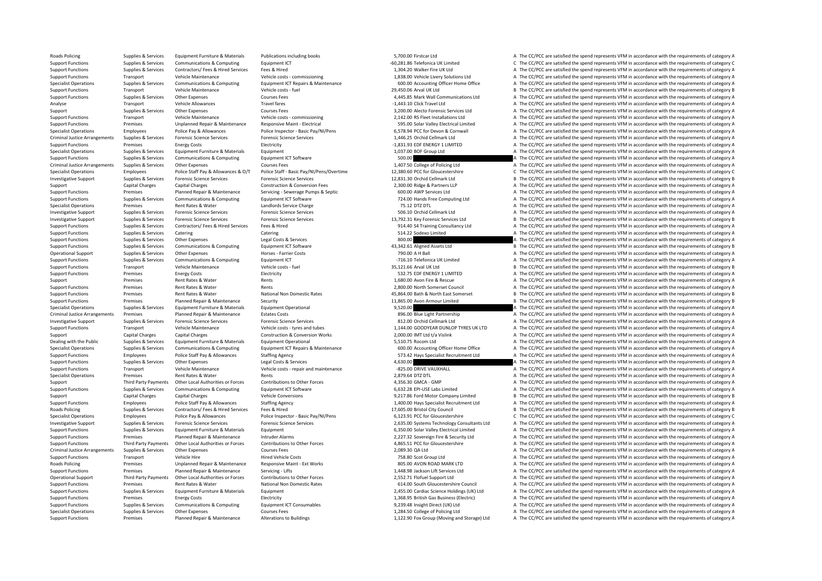Roads Policing Supplies & Services Equipment Furniture & Materials Publications including books 5,700.00 Firstcar Ltd A The CC/PCC are satisfied the spend represents VFM in accordance with the requirements of category A Support Functions Supplies & Services Communications & Computing Equipment ICT examples Equipment ICT examples and the Support Entity and the CO/PCC are satisfied the spend represents VFM in accordance with the requirement Support Functions Supplies & Services Contractors/ Fees & Hired Services Fees & Hired A The CONTROLL A The CONTROLL A The CC/PCC are satisfied the spend represents VFM in accordance with the requirements of category A Valu Support Functions Transport Vehicle Maintenance Vehicle costs – commissioning vehicle costs – commissioning vehicle costs – commissioning vehicle costs – commissioning vehicle costs – communications are vehicle costs – com A The CC/PCC are satisfied the spend represents VFM in accordance with the requirements of category A Support Functions Transport Vehicle Maintenance Vehicle costs – fuel Vehicle costs – fuel 29,450.06 Arval UK Ltd B The CC/PCC are satisfied the spend represents VFM in accordance with the requirements of category B Support Functions Supplies & Services Other Expenses Courses Fees Courses Fees A,445.85 Mark Wall Communications Ltd A The CC/PCC are satisfied the spend represents VFM in accordance with the requirements of category A Analyse Transport Vehicle Allowances Travel fares Travel fares and the Travel Ltd A The CC/PCC are satisfied the spend represents VFM in accordance with the requirements of category A Support Support Support Support Other Expenses Support Courses Fees Services Courses Fees 3,200.00 Alecto Forensic Services Ltd A The CC/PCC are satisfied the spend represents VFM in accordance with the requirements of cat Support Functions Transport Vehicle Maintenance Vehicle costs - commissioning 2,142.00 RS Fleet Installations Ltd A The CC/PCC are satisfied the spend represents VFM in accordance with the requirements of category A Support Functions Premises Unplanned Repair & Maintenance Responsive Maint - Electrical Support Personal ending the CO/PCC are satisfied the spend represents VFM in accordance with the requirements of category A Specialist Operations Computer of Category Allowances Police Pay & Allowances Police Pay Allowances Police Pay Allowances Police Insector - Rasic Pay NullPens 657894 PCC for Devon & Compuall a The CC/PCC are satisfied the Criminal Justice Arrangements Supplies & Services Forensic Science Services Forensic Science Services Forensic Science Services Forensic Science Services Forensic Science Services Services Services (1.496.25 Orchid Cellmar Support Functions Premises Energy Costs Electricity Electricity Electricity Electricity Electricity Electricity entity and the Support Electricity and the Support Electricity and the Support of the Support of the Support A Specialist Operations Supplies & Services Equipment Furniture & Materials Equipment Equipment 1,037.00 BOF Group Ltd A The CC/PCC are satisfied the spend represents VFM in accordance with the requirements of category A Support Functions Supplies & Services Communications & Computing Equipment ICT Software Equipment ICT Software 500.00 A The CC/PCC are satisfied the spend represents VFM in accordance with the requirements of category A Th Criminal Justice Arrangements Supplies & Services Other Expenses Courses Fees Courses Courses Courses Courses Courses Courses Courses Courses Courses Courses Courses Courses Courses Courses Courses Courses Courses Courses Specialist Operations Employees Police Staff Pay & Allowances & O/T Police Staff - Basic Pay/NI/Pens/Overtime 12,380.60 PCC for Gloucestershire C The CC/PCC are satisfied the spend represents VFM in accordance with the req Investigative Support Support Support Support Forensic Science Services Forensic Science Services Forensic Science Services Forensic Science Services Forensic Science Services (at each of the case of category B The CC/PCC Support Capital Charges Capital Charges Capital Charges Construction & Conversion Fees 2,300.00 Ridge & Partners LLP A The CC/PCC are satisfied the spend represents VFM in accordance with the requirements of category A The Servicing - Serverage Pumps & Septic 600.00 AWP Services Ltd A The CC/PCC are satisfied the spend represents VFM in accordance with the requirements of category A The Criteria and the result of the Services Category A The Support Functions Supplies & Services Communications & Computing Foulthment ICT Software Functions and The Computing Ltd A The CC/PCC are satisfied the spend represents VFM in accordance with the requirements of category A Specialist Operations Premises Rent Rates & Water Landlords Service Charge 75.12 DTZ DTL 75.12 DTZ DTL A The CC/PCC are satisfied the spend represents VFM in accordance with the requirements of category A Investigative Support Supplies & Services Forensic Science Services Forensic Science Services Forensic Science Services Forensic Science Services Forensic Science Services Forensic Science Services 506.10 Orchid Cellmark L B The CC/PCC are satisfied the spend represents VFM in accordance with the requirements of category B Support Functions Supplies & Services Contractors/ Fees & Hired Services Fees & Hired 914.40 S4 Training Consultancy Ltd A The CC/PCC are satisfied the spend represents VFM in accordance with the requirements of category A Support Functions Supplies & Services Catering Catering Catering Catering Catering Catering Catering Catering Catering Catering Catering Stategory A The CC/PCC are satisfied the spend represents VFM in accordance with the Support Functions Supplies & Services Other Expenses Legal Costs & Services Legal Costs & Services Legal Costs & Services 800.00 B The CC/PCC are satisfied the spend represents VFM in accordance with the requirements of ca B The CC/PCC are satisfied the spend represents VFM in accordance with the requirements of category B Operational Support Supplies & Services Other Expenses Horses - Farrier Costs 790.00 A H Ball A The CC/PCC are satisfied the spend represents VFM in accordance with the requirements of category A Support Functions Supplies & Services Communications & Computing Equipment ICT - 716.10 Telefonica UK Limited A The CC/PCC are satisfied the spend represents VFM in accordance with the requirements of category A Support Functions Transport Vehicle Maintenance Vehicle costs – fuel Vehicle costs – fuel 35,121.66 Arval UK Ltd B The CC/PCC are satisfied the spend represents VFM in accordance with the requirements of category B Sategor A The CC/PCC are satisfied the spend represents VFM in accordance with the requirements of category A Support Premises Rent Rates & Water Rents Rents Rents Rescue 1,680.00 Avon Fire & Rescue A The CC/PCC are satisfied the spend represents VFM in accordance with the requirements of category A Support Functions Premises Rent Rates & Water Rents 2,800.00 North Somerset Council A The CC/PCC are satisfied the spend represents VFM in accordance with the requirements of category A Support Functions Premises Rent Rates & Water National Non Domestic Rates 45,864.00 Bath & North East Somerset B The CC/PCC are satisfied the spend represents VFM in accordance with the requirements of category B Support Functions Premises Planned Repair & Maintenance Security 11,865.00 Avon Armour Limited B The CC/PCC are satisfied the spend represents VFM in accordance with the requirements of category B Specialist Operations Supplies & Services Equipment Furniture & Materials Equipment Operational Equipment Operational exacts and the Spend represents of the Spend represents VFM in accordance with the requirements of categ Criminal Justice Arrangements Premises Planned Repair & Maintenance Estates Costs 896.00 Blue Light Partnership A The CC/PCC are satisfied the spend represents VFM in accordance with the requirements of category A Investigative Support Supplies & Services Forensic Science Services Forensic Science Services Forensic Science Services Forensic Science Services and tubes and the status and the category and the comparations are a The CC/ Support Functions Transport Vehicle Maintenance Vehicle costs – tyres and tubes 1,144.00 GOODYEAR DUNLOP TYRES UK LTD A The CC/PCC are satisfied the spend represents VFM in accordance with the requirements of category A Co Support Capital Charges Capital Charges Construction & Construction & Conversion Works 2,000.00 IMT Ltd t/a Vislink A The CC/PCC are satisfied the spend represents VFM in accordance with the requirements of category A Dealing with the Public Supplies & Services Equipment Furniture & Materials Equipment Operational 5,510.75 Rocom Ltd A The CC/PCC are satisfied the spend represents VFM in accordance with the requirements of category A Supplies & Services Communications & Computing Equipment ICT Repairs & Maintenance 600.00 Accounting Officer Home Office A The CC/PCC are satisfied the spend represents VFM in accordance with the requirements of category A Support Functions Employees Police Staff Pay & Allowances Staffing Agency States States States Support Functions and the CONCC are satisfied the spend represents VFM in accordance with the requirements of category A The CO A The CC/PCC are satisfied the spend represents VFM in accordance with the requirements of category A Support Functions Transport Vehicle Maintenance Vehicle costs ‐ repair and maintenance SCS.00 DRIVE VAUXHALL A The CC/PCC are satisfied the spend represents VFM in accordance with the requirements of category A Specialist Operations Premises Rent Rates & Water Rents Rents Rents Rents Rents Rents Rents Rents Rents Rents Rents Rents Rents 2,879.64 DTZ DTL A The CC/PCC are satisfied the spend represents VFM in accordance with the re Support Third Party Payments Other Local Authorities or Forces Contributions to Other Forces 4,356.30 GMCA – GMP A The CC/PCC are satisfied the spend represents VFM in accordance with the requirements of category A Support Functions Supplies & Services Communications & Computing Equipment ICT Software Equipment ICT Software 6,632.28 EPI‐USE Labs Limited A The CC/PCC are satisfied the spend represents VFM in accordance with the requir Support Capital Charges Capital Charges Vehicle Conversions Vehicle Conversions 9,217.86 Ford Motor Company Limited B The CC/PCC are satisfied the spend represents VFM in accordance with the requirements of category B Support Functions Employees Police Staff Pay & Allowances Staffing Agency Staffing Agency 1,400.00 Hays Specialist Recruitment Ltd A The CC/PCC are satisfied the spend represents VFM in accordance with the requirements of Roads Policing Supplies Services Contractors/ Fees & Hired Services Fees & Hired 17,605.00 Bristol City Council Services B The CC/PCC are satisfied the spend represents VFM in accordance with the requirements of category B Specialist Operations Employees Employees Police Pay & Allowances Police Inspector - Basic Pay/NI/Pens 6,123.91 PCC for Gloucestershire C The CC/PCC are satisfied the spend represents VFM in accordance with the requirement Investigative Support Supplies & Services Forensic Science Services Forensic Science Services Forensic Science Services Forensic Science Services Forensic Science Services and a subspace and the controller that the control Support Functions Supplies & Services Equipment Eurniture & Materials Equipment Equipment Equipment Equipment Equipment Equipment Equipment a Service of Category A The CC/PCC are satisfied the spend represents VFM in accor Support Functions Premises Planned Repair & Maintenance Intruder Alarms 2,227.32 Sovereign Fire & Security Ltd A The CC/PCC are satisfied the spend represents VFM in accordance with the requirements of category A Support Functions Third Party Payments Other Local Authorities or Forces Contributions to Other Forces states and a 4,865.51 PCC for Gloucestershire A The CC/PCC are satisfied the spend represents VFM in accordance with th Criminal Justice Arrangements Supplies & Services Other Expenses Courses Fees Courses Fees 2,089.30 QA Ltd A The CC/PCC are satisfied the spend represents VFM in accordance with the requirements of category A The Criminal Support Functions Transport Vehicle Hire Member Hired Vehicle Costs and Hired Vehicle Costs 758.80 Scot Group Ltd A The CC/PCC are satisfied the spend represents VFM in accordance with the requirements of category A Roads Policing Premises Unplanned Repair & Maintenance Responsive Maint - Ext Works 805.00 AVON ROAD MARK LTD A The CC/PCC are satisfied the spend represents VFM in accordance with the requirements of category A Support Functions Premises Planned Repair & Maintenance Servicing - Lifts 1,448.98 Jackson Lift Services Ltd A The CC/PCC are satisfied the spend represents VFM in accordance with the requirements of category A Operational Support Third Party Payments Other Local Authorities or Forces Contributions to Other Forces Contributions to Other Forces 2.552.71 Flofuel Support Ltd A The CC/PCC are satisfied the spend represents VFM in acc Support Functions Premises Rent Rates & Water National Non Domestic Rates 614.00 South Gloucestershire Council A The CC/PCC are satisfied the spend represents VFM in accordance with the requirements of category A Support Functions Supplies & Services Equipment Furniture & Materials Equipment Equipment 2,455.00 Cardiac Science Holdings (UK) Ltd A The CC/PCC are satisfied the spend represents VFM in accordance with the requirements o A The CC/PCC are satisfied the spend represents VFM in accordance with the requirements of category A Suppliers & Services Communications & Computing Foujoment ICT Consumables and the services of the COPCC are satisfied the spend represents VFM in accordance with the requirements of category A Specialist Operations Supplies & Services Other Expenses Courses Fees Courses Fees 1,284.50 College of Policing Ltd A The CC/PCC are satisfied the spend represents VFM in accordance with the requirements of category A Support Functions Premises Planned Repair & Maintenance Alterations to Buildings and the substantion of the CC/PCC are satisfied the spend represents VFM in accordance with the requirements of category A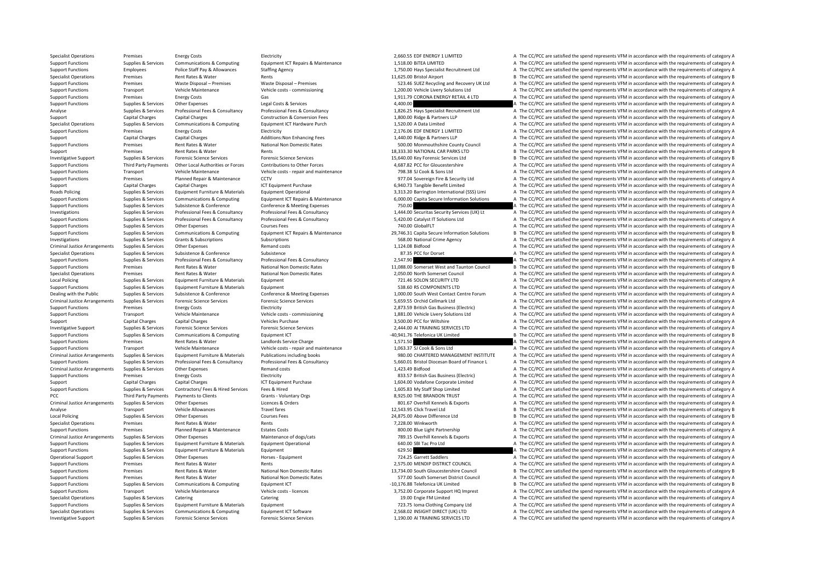Specialist Operations Premises Energy Costs Electricity Electricity Electricity A The COSS EDF ENERGY 1 LIMITED A The CC/PCC are satisfied the spend represents VFM in accordance with the requirements of category A Support Functions Supplies & Services Communications & Computing Equipment ICT Repairs & Maintenance 1,518.00 BITEA LIMITED A The CC/PCC are satisfied the spend represents VFM in accordance with the requirements of categor Support Functions Employees Police Staff Pay & Allowances Staffing Agency 1,750.00 Hays Specialist Recruitment Ltd A The CC/PCC are satisfied the spend represents VFM in accordance with the requirements of category A Speci Specialist Operations Premises Rent Rates & Water Rents Rents Rents Rents Rents Rents Rents Rents Rents Rents Rents Premises Rents Premises Premises Premises Premises Premises Premises Premises Premises Premises Premises P Premises Waste Disposal – Premises Waste Disposal – Premises Support Category A Support Category A The CC/PCC are satisfied the spend represents VFM in accordance with the requirements of category A Support Functions Transport Vehicle Maintenance Vehicle costs - commissioning 1,200.00 Vehicle Livery Solutions Ltd A The CC/PCC are satisfied the spend represents VFM in accordance with the requirements of category A The Support Functions Premises Energy Costs Gas Gas Gas Function Contact A The CC/PCC are satisfied the spend represents VFM in accordance with the requirements of category A Support Functions Supplies & Services Other Expenses Legal Costs & Services A 400.00 A The CC/PCC are satisfied the spend represents VFM in accordance with the requirements of category A Supplies & Services Professional Fees & Consultancy Professional Fees & Consultancy Professional Fees & Consultancy Professional Fees & Consultancy 1.826.25 Havs Specialist Recruitment Ltd A The CC/PCC are satisfied the sp Support Capital Charges Capital Charges Construction & Conversion Fees 1,800.00 Ridge & Partners LLP A The CC/PCC are satisfied the spend represents VFM in accordance with the requirements of category A Specialist Operations Supplies & Services Communications & Computing Equipment ICT Hardware Purch 1,520.00 A Data Limited A The CC/PCC are satisfied the spend represents VFM in accordance with the requirements of category Support Functions Premises Energy Costs Electricity Electricity 2,176.06 EDF ENERGY 1 LIMITED A The CC/PCC are satisfied the spend represents VFM in accordance with the requirements of category A Support Capital Charges Capital Charges Additions:Non Enhancing Fees 1,440.00 Ridge & Partners LLP A The CC/PCC are satisfied the spend represents VFM in accordance with the requirements of category A Support Functions Premises Rent Rates & Water National Non Domestic Rates 500.00 Monmouthshire Council A The CC/PCC are satisfied the spend represents VFM in accordance with the requirements of category A Support Premises Rent Rates & Water Rents Rents Rents Rents Rents Rents Rents Rents 18,333.30 NATIONAL CAR PARKS LTD B The CC/PCC are satisfied the spend represents VFM in accordance with the requirements of category B Investigative Support Supplies & Services Forensic Science Services Forensic Science Services Forensic Science Services Forensic Science Services ervices and the services and the Support of the CC/PCC are satisfied the spe Support Functions Third Party Payments Other Local Authorities or Forces Contributions to Other Forces 4.687.82 PCC for Gloucestershire A The CC/PCC are satisfied the spend represents VFM in accordance with the requirement Support Functions Transport Vehicle Maintenance Vehicle costs - repair and maintenance 798.38 SJ Cook & Sons Ltd A The CC/PCC are satisfied the spend represents VFM in accordance with the requirements of category A Support Functions Premises Planned Repair & Maintenance CCTV entity and the COTV 977.04 Sovereign Fire & Security Ltd A The CC/PCC are satisfied the spend represents VFM in accordance with the requirements of category A Support Capital Charges Capital Charges Capital Charges Support Capital Charges ICT Equipment Purchase 1CT Equipment Purchase 1CT Equipment Purchase 1CT Equipment Purchase 1CT Equipment Purchase 6,940.73 Tangible Benefit L Supplies & Services Fault Furniture & Materials Faultoment Operational 2331320 Barrington International CSS) Limi A The CC/PCC are satisfied the spend represents VFM in accordance with the requirements of category A Suppliers & Services Communications & Computing Foujoment ICT Repairs & Maintenance 6.000.00 Capita Secure Information Solutions A The CC/PCC are satisfied the spend represents VEM in accordance with the requirements of ca Support Functions Supplies & Services Subsistence & Conference Conference & Meeting Expenses 750.00 750.00 A The CC/PCC are satisfied the spend represents VFM in accordance with the requirements of category A Supplies & Services Professional Fees & Consultancy Professional Fees & Consultancy Professional Fees & Consultancy Professional Fees & Consultancy 1,444.00 Securitas Security Services (UK) Lt A The CC/PCC are satisfied th A The CC/PCC are satisfied the spend represents VFM in accordance with the requirements of category A Support Functions Supplies & Services Other Expenses Courses Fees Courses Fees 740.00 GlobalFLT A The CC/PCC are satisfied the spend represents VFM in accordance with the requirements of category A Supplies & Supplies & Services Communications & Computing Equipment ICT Repairs & Maintenance 29,746.31 Capita Secure Information Solutions B The CC/PCC are satisfied the spend represents VFM in accordance with the require Investigations Supplies Services Grants & Subscriptions Subscriptions Subscriptions Subscriptions Subscriptions Subscriptions Subscriptions Subscriptions Subscriptions Subscriptions Subscriptions Subscriptions and the CC/P A The CC/PCC are satisfied the spend represents VFM in accordance with the requirements of category A Specialist Operations Supplies & Services Subsistence Subsistence Subsistence Subsistence Subsistence Subsistence Subsistence Subsistence Subsistence Subsistence Subsistence Subsistence Subsistence Subsistence Subsistence Support Functions Supplies & Services Professional Fees & Consultancy Professional Fees & Consultancy Professional Fees & Consultancy Professional Fees & Consultancy Professional Fees & Consultancy Professional Fees & Cons Support Functions Premises Rent Rates & Water National Non Domestic Rates 11,088.00 Somerset West and Taunton Council B The CC/PCC are satisfied the spend represents VFM in accordance with the requirements of category B Sp Specialist Operations Premises Rent Rates & Water National Non Domestic Rates 2,050.00 North Somerset Council A The CC/PCC are satisfied the spend represents VFM in accordance with the requirements of category A Local Policing Supplies & Supplies & Supplies & Supplient Equipment Equipment Equipment Equipment Purniture & Materials Equipment Furniture & Materials Equipment Furniture & Materials Funniture and Furniture and The CONCL Support Functions Supplies & Services Fouloment Furniture & Materials Fouloment Furniture & Materials Fouloment 538.60 RS COMPONENTS LTD A The CC/PCC are satisfied the spend represents VFM in accordance with the requiremen Dealing with the Public Supplies & Supplies & Subsistence & Conference Conference Conference & Meeting Expenses 1,000.00 South West Contact Centre Forum A The CC/PCC are satisfied the spend represents VFM in accordance wit Criminal Justice Arrangements Supplies & Services Forensic Science Services Forensic Science Services Forensic Science Services Forensic Science Services Services Supplies A The CC/PCC are satisfied the spend represents VF Support Functions Premises Energy Costs Electricity Electricity Electricity Electricity 2,873.59 British Gas Business (Electricity A The CC/PCC are satisfied the spend represents VFM in accordance with the requirements of Support Functions Transport Vehicle Maintenance Vehicle costs – commissioning 1,881.00 Vehicle Livery Solutions Ltd A The CC/PCC are satisfied the spend represents VFM in accordance with the requirements of category A Support Capital Charges Capital Charges Capital Charges Vehicles Purchase 3,500.00 PCC for Willshire 3,500.00 PCC for Willshire A The CC/PCC are satisfied the spend represents VFM in accordance with the requirements of cat Investigative Support Supplies & Services Forensic Science Services Forensic Science Services Forensic Science Services Forensic Science Services Forensic Science Services and a man and a man and a man and a man and the co Supplies & Services Communications & Computing Equipment ICT examples and the state of the support of the support of the support of the spend represents VFM in accordance with the requirements of category B and the support Support Functions Premises Rent Rates & Water Landlords Service Charge 1,571.50 1.571.50 A The CC/PCC are satisfied the spend represents VFM in accordance with the requirements of category A Support Functions Transport Vehicle Maintenance Vehicle costs ‐ repair and maintenance 1,063.37 SJ Cook & Sons Ltd A The CC/PCC are satisfied the spend represents VFM in accordance with the requirements of category A Criminal Justice Arrangements Supplies & Services Equipment Furniture & Materials Publications including books<br>
Support Functions Support Eurotions (Support Eurotics Arrangements of category A Support Functions including<br> Supplies & Services Professional Fees & Consultancy Professional Fees & Consultancy Professional Fees & Consultancy Professional Fees & Consultancy Professional Fees & Consultancy Professional Fees & Consultancy Profession Criminal Justice Arrangements Supplies & Services Other Expenses Remand costs Remand costs Remand costs 1,423.49 Bidfood A The CC/PCC are satisfied the spend represents VFM in accordance with the requirements of category A Support Functions Premises Energy Costs Electricity Electricity Electricity Business (Electricity Bases (Electricity Bases (Electricity Bases (Electricity Bases (Electricity A The CC/PCC are satisfied the spend represents Capital Charges Capital Charges 1,600 Voltages 1,604.00 Vodafone Corporate Limited A The CC/PCC are satisfied the spend represents VFM in accordance with the requirements of category A Support Functions Supplies & Services Contractors/ Fees & Hired Services Fees & Hired 1,605.83 My Staff Shop Limited A The CC/PCC are satisfied the spend represents VFM in accordance with the requirements of category A PCC Third Party Payments Payments to Clients Grants Voluntary Orgs Grants Voluntary Orgs 8,925.00 THE BRANDON TRUST A The CC/PCC are satisfied the spend represents VFM in accordance with the requirements of category A Criminal Justice Arrangements Supplies & Services Other Expenses Licences & Orders Licences & Orders Licences Corders A The COVerhill Kennels & Exports A The CC/PCC are satisfied the spend represents VFM in accordance with Analyse Transport Vehicle Allowances Travel fares Travel fares 12,543.95 Click Travel Ltd B The CC/PCC are satisfied the spend represents VFM in accordance with the requirements of category B Local Policing Supplies & Services Other Expenses 2017 Courses Fees 24,875.00 Above Difference Ltd B The CC/PCC are satisfied the spend represents VFM in accordance with the requirements of category B Specialist Operations Premises Rent Rates & Water Rents 7,228.00 Winkworth A The CC/PCC are satisfied the spend represents VFM in accordance with the requirements of category A Support Functions Premises Planned Repair & Maintenance Estates Costs 800.00 Blue Light Partnership A The CC/PCC are satisfied the spend represents VFM in accordance with the requirements of category A Costs 800.00 Blue Li Criminal Justice Arrangements Sunnlies & Services Other Expenses Maintenance of dogs/cats Maintenance of dogs/cats 789.15 Overhill Kennels & Exports A The CC/PCC are satisfied the spend represents VEM in accordance with th Support Functions Supplies & Services Equipment Furniture & Materials Equipment Operational Equipment Operational 640.00 SBI Tac Pro Ltd A The CC/PCC are satisfied the spend represents VFM in accordance with the requiremen Support Functions Supplies & Services Equipment Eurniture & Materials Equipment Equipment Equipment Equipment and the state of the Experiment of category A The CC/PCC are satisfied the spend represents VFM in accordance wi Operational Support Supplies & Services Other Expenses Horses Equipment Horses - Equipment 724.25 Garrett Saddlers A The CC/PCC are satisfied the spend represents VFM in accordance with the requirements of category A Support Functions Premises Rent Rates & Water Rents Rents Rents Rents Rents Rents 2,575.00 MENDIP DISTRICT COUNCIL A The CC/PCC are satisfied the spend represents VFM in accordance with the requirements of category A Support Functions Premises Rent Rates & Water National Non Domestic Rates 13,734.00 South Gloucestershire Council B The CC/PCC are satisfied the spend represents VFM in accordance with the requirements of category B Support Functions Premises Rent Rates & Water National Non Domestic Rates 577.00 South Somerset District Council A The CC/PCC are satisfied the spend represents VFM in accordance with the requirements of category A Support Support Functions Supplies & Services Communications & Computing Equipment ICT example and the state of the state of the Service and the requirements of category B The CC/PCC are satisfied the spend represents VFM in accor Support Functions Transport Vehicle Maintenance Vehicle Costs - licences Vehicle costs - licences 3,752.00 Corporate Support HQ Imprest A The CC/PCC are satisfied the spend represents VFM in accordance with the requirement Specialist Operations Catering Catering Catering Catering Catering Catering Catering Catering Catering Catering Catering Catering Catering Catering Catering Catering Catering Catering Catering Catering 19.00 Engine FM Limi Support Functions Supplies & Services Fouloment Furniture & Materials Fouloment 723.75 Ioma Clothing Company Ltd A The CC/PCC are satisfied the spend represents VFM in accordance with the requirements of category A Supplies & Services Communications & Computing Equipment ICT Software Equipment ICT Software 2,568.02 INSIGHT DIRECT (UK) LTD A The CC/PCC are satisfied the spend represents VFM in accordance with the requirements of categ Investigative Support Supplies & Services Forensic Science Services Forensic Science Services Forensic Science Services Forensic Science Services Forensic Science Services and the Support of the CC/PCC are satisfied the sp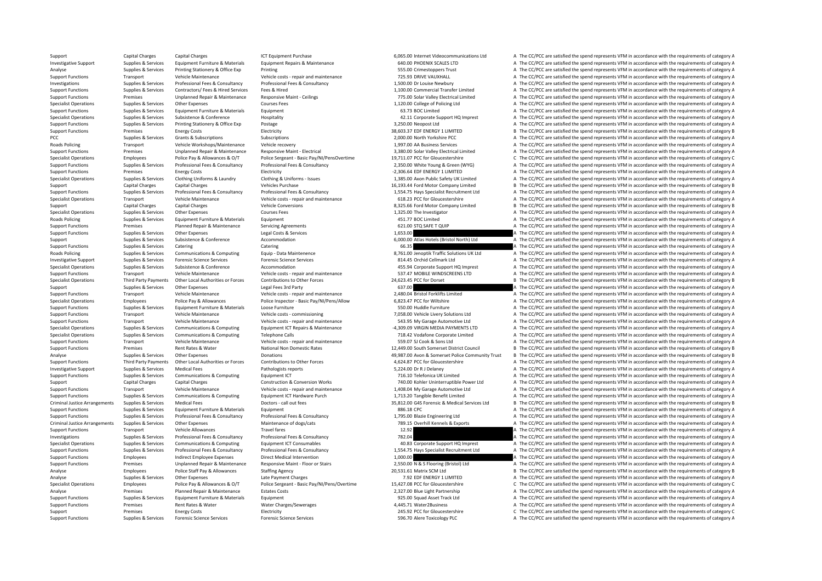Support Capital Charges Capital Charges Capital Charges ICT Equipment Purchase 6,065.00 Internet Videocommunications Ltd A The CC/PCC are satisfied the spend represents VFM in accordance with the requirements of category A Investigative Support Supplies & Services Equipment Furniture & Materials Equipment Repairs & Maintenance 640.00 PHOENIX SCALES LTD A The CC/PCC are satisfied the spend represents VFM in accordance with the requirements of Analyse Supplies & Services Printing Stationery & Office Exp Printing Stationery A The CONSTRUCT Stationer Stationer Stationer Supplies & Services Printing Stationery & Office Exp Printing Printing Stationers and maintenan Support Functions Transport Vehicle Maintenance Vehicle costs – repair and maintenance 725.93 DRIVE VAUXHALL A The CC/PCC are satisfied the spend represents VFM in accordance with the requirements of category A The Creativ out of the Supplies & Supplies & Services Professional Fees & Consultancy Professional Fees & Consultancy Professional Fees & Consultancy Professional Fees & Consultancy Professional Fees & Consultancy Professional Fees & Support Functions Supplies & Services Contractors/ Fees & Hired Services Fees & Hired 1,100.00 Commercial Transfer Limited A The CC/PCC are satisfied the spend represents VFM in accordance with the requirements of category Support Functions Premises Unplanned Repair & Maintenance Responsive Maint - Ceilings 775.00 Solar Valley Electrical Limited A The CC/PCC are satisfied the spend represents VFM in accordance with the requirements of catego Specialist Operations Supplies & Services Other Expenses Courses Fees Courses Fees 1,120.00 College of Policing Ltd A The CC/PCC are satisfied the spend represents VFM in accordance with the requirements of category A Support Functions Supplies & Services Equipment Furniture & Materials Equipment A The CC/PCC are satisfied the spend represents VFM in accordance with the requirements of category A Specialist Operations Supplies & Services Subsistence & Conference Hospitality Hospitality 42.11 Corporate Support HQ Imprest A The CC/PCC are satisfied the spend represents VFM in accordance with the requirements of categ Support Functions Supplies & Services Printing Stationery & Office Exp Postage 2008 and the State 3,250.00 Neopost Ltd A The CC/PCC are satisfied the spend represents VFM in accordance with the requirements of category A T Support Functions Premises Energy Costs Electricity Electricity 38,603.37 EDE ENERGY 1 LIMITED B The CC/PCC are satisfied the spend represents VEM in accordance with the requirements of category B PCC Supplies A The CC/PCC are satisfied the spend represents VFM in accordance with the requirements of category A The CC/PCC are satisfied the spend represents VFM in accordance with the requirements of category A Roads Policing Transport Vehicle Workshops/Maintenance Vehicle recovery 1,997.00 AA Business Services A The CC/PCC are satisfied the spend represents VFM in accordance with the requirements of category A Support Functions Premises Unplanned Repair & Maintenance Responsive Maint - Electrical Support David Benair Support Premises Unplanned Repair & Maintenance Responsive Maint - Electrical Support Paint David David Benair an Specialist Operations Employees Police Pay & Allowances & O/T Police Sergeant - Basic Pay/NI/PensOvertime 19,711.07 PCC for Gloucestershire C The CC/PCC are satisfied the spend represents VFM in accordance with the require Support Functions Supplies & Services Professional Fees & Consultancy Professional Fees & Consultancy Professional Fees & Consultancy 2.350.00 White Young & Green (WYG) A The CC/PCC are satisfied the spend represents VFM i Support Functions Premises Energy Costs Electricity Electricity Electricity Electricity Electricity Electricity and the second and the CC/PCC are satisfied the spend represents VFM in accordance with the requirements of ca Supplies & Services Clothing Uniforms & Laundry Clothing & Uniforms - Issues 1.385.00 Axon Public Safety UK Limited A The CC/PCC are satisfied the spend represents VFM in accordance with the requirements of category A Support Capital Charges Capital Charges Capital Charges Vehicles Purchase Vehicles Purchase 16,193.44 Ford Motor Company Limited B The CC/PCC are satisfied the spend represents VFM in accordance with the requirements of ca A The CC/PCC are satisfied the spend represents VEM in accordance with the requirements of category A Specialist Operations Transport Vehicle Maintenance Vehicle costs - repair and maintenance 618.23 PCC for Gloucestershire A The CC/PCC are satisfied the spend represents VFM in accordance with the requirements of category Support Capital Charges Capital Charges Vehicle Conversions Vehicle Conversions 8,325.66 Ford Motor Company Limited B The CC/PCC are satisfied the spend represents VFM in accordance with the requirements of category B Specialist Operations Supplies & Services Other Expenses Courses Fees Courses Fees 1,325.00 The Investigator a A The CC/PCC are satisfied the spend represents VFM in accordance with the requirements of category A The CC/PC Equipment Furniture A The CC/PCC are satisfied the spend represents VFM in accordance with the requirements of category A The CC/PCC are satisfied the spend represents VFM in accordance with the requirements of category A Support Functions Premises Planned Repair & Maintenance Servicing Agreements 621.00 STQ SAFE T QUIP A The CC/PCC are satisfied the spend represents VFM in accordance with the requirements of category A Support Functions Supplies & Services Other Expenses Legal Costs & Services 1,653.00 A The CC/PCC are satisfied the spend represents VFM in accordance with the requirements of category A Support Supplies Supplies & Services Subsistence & Conference Accommodation Accommodation and A The CC/PCC are satisfied the spend represents VFM in accordance with the requirements of category A Category A The CC/PCC are Support Functions Catering Catering Catering Catering Catering Catering Catering Catering Catering Catering Catering Catering Catering Catering Catering Catering Catering Catering Catering Catering Catering Catering Catego Roads Policing Supplies & Services Communications & Computing Equip Data Maintenence and a strategy and a strategy and the CO/PCC are satisfied the spend represents VFM in accordance with the requirements of category A Investigative Support Support Support Services Forensic Science Services Forensic Services Forensic Services 81.45 Orchid Cellmark Ltd A The CC/PCC are satisfied the spend represents VFM in accordance with the requirements Specialist Operations Supplies & Services Subsistence & Conference Accommodation Accommodation 455.94 Corporate Support HQ Imprest A The CC/PCC are satisfied the spend represents VFM in accordance with the requirements of A The CC/PCC are satisfied the spend represents VFM in accordance with the requirements of category A Specialist Operations Third Party Payments Other Local Authorities or Forces Contributions to Other Forces and the requirements of category B The CC/PCC are satisfied the spend represents VFM in accordance with the require Support Support Support Other Expenses Legal Fees 3rd Party 637.00 637.00 A The CC/PCC are satisfied the spend represents VFM in accordance with the requirements of category A Support Functions Transport Vehicle Maintenance Vehicle costs - repair and maintenance 2,480.04 Bristol Forklifts Limited A The CC/PCC are satisfied the spend represents VFM in accordance with the requirements of category Specialist Operations Employees Police Pay & Allowances Police Inspector - Basic Pay/NI/Pens/Allow 6,823.47 PCC for Wiltshire A The CC/PCC are satisfied the spend represents VFM in accordance with the requirements of categ Support Functions Supplies & Services Equipment Furniture Materials Loose Furniture Loose Furniture and Support Functions SSO.00 Huddle Furniture A The CC/PCC are satisfied the spend represents VFM in accordance with the r Support Functions Transport Vehicle Maintenance Vehicle costs – commissioning 7,058.00 Vehicle Livery Solutions Ltd A The CC/PCC are satisfied the spend represents VFM in accordance with the requirements of category A Support Functions Transport Vehicle Maintenance Vehicle costs – repair and maintenance Support Functions Support Functions Category A The CC/PCC are satisfied the spend represents VFM in accordance with the requirements of Supplies & Supplies & Supplies & Communications & Computing Equipment ICT Repairs & Maintenance Maintenance 4,309.09 VIRGIN MEDIA PAYMENTS LTD A The CC/PCC are satisfied the spend represents VFM in accordance with the requ Supplies & Services Communications & Computing Telephone Calls Telephone Calls 718.42 Vodafone Corporate Limited A The CC/PCC are satisfied the spend represents VFM in accordance with the requirements of category A Support Functions Transport Vehicle Maintenance Vehicle costs ‐ repair and maintenance 559.07 SJ Cook & Sons Ltd A The CC/PCC are satisfied the spend represents VFM in accordance with the requirements of category A Support Functions Premises Rent Rates & Water National Non Domestic Rates 12,449.00 South Somerset District Council B The CC/PCC are satisfied the spend represents VFM in accordance with the requirements of category B Analyse Supplies & Services Other Expenses Donations Donations Donations Donations Analyse Analyse The CC/PCC are satisfied the spend represents VFM in accordance with the requirements of category B<br>Support Functions Third Third Party Payments Other Local Authorities or Forces Contributions to Other Forces and the COLOC 4,624.87 PCC for Gloucestershire A The CC/PCC are satisfied the spend represents VFM in accordance with the requirements of Investigative Support Supplies & Services Medical Fees Pathologists reports Pathologists reports 5,224.00 Dr R J Delaney A The CC/PCC are satisfied the spend represents VFM in accordance with the requirements of category A Support Functions Supplies & Services Communications & Computing Equipment ICT **Equipment ICT 716.10** Telefonica UK Limited A The CC/PCC are satisfied the spend represents VFM in accordance with the requirements of categor Support Capital Charges Capital Charges Construction & Conversion Works 740.00 Kohler Uninterruptible Power Ltd A The CC/PCC are satisfied the spend represents VFM in accordance with the requirements of category A Support Functions Transport Vehicle Maintenance Vehicle costs - repair and maintenance 1,408.04 My Garage Automotive Ltd A The CC/PCC are satisfied the spend represents VFM in accordance with the requirements of category A Supplies & Services Communications & Computing Equipment ICT Hardware Purch 1.713.20 Tangible Benefit Limited A The CC/PCC are satisfied the spend represents VFM in accordance with the requirements of category A Criminal Justice Arrangements Supplies & Services Medical Fees Doctors - call out fees Doctors - call out fees<br>Supplies & Services Faultoment Furniture & Materials Faultoment Furniture & Materials Faultoment Furniture & Ma Support Functions Supplies & Services Fouloment Furniture & Materials Fouloment and the spend and the Services Equipment and The CC/PCC are satisfied the spend represents VFM in accordance with the requirements of category Support Functions Supplies & Services Professional Fees & Consultancy Professional Fees & Consultancy Professional Fees & Consultancy Professional Fees & Consultancy 1,795.00 Blazie Engineering Ltd A The CC/PCC are satisfi Criminal Justice Arrangements Supplies & Services Other Expenses Maintenance of dogs/cats Maintenance of dogs/cats 789.15 Overhill Kennels & Exports A The CC/PCC are satisfied the spend represents VFM in accordance with th Support Functions Transport Vehicle Allowances Travel fares Travel fares Travel fares and the computations and the CC/PCC are satisfied the spend represents VFM in accordance with the requirements of category A The CC/PC a Investigations Supplies & Services Professional Fees & Consultancy Professional Fees & Consultancy Professional Fees & Consultancy 782.04 A The CC/PCC are satisfied the spend represents VFM in accordance with the requireme Supplies & Services Communications & Computing Equipment ICT Consumables and the computations and a many consume and the CC/PCC are satisfied the spend represents VFM in accordance with the requirements of category A The C Supplies & Services Professional Fees & Consultancy Professional Fees & Consultancy Professional Fees & Consultancy Professional Fees & Consultancy Professional Fees & Consultancy Professional Fees & Consultancy Profession Support Functions Employees Indirect Employee Expenses Direct Medical Intervention 1,000.00 A The CC/PCC are satisfied the spend represents VFM in accordance with the requirements of category A Support Functions Premises Unplanned Repair & Maintenance Responsive Maint - Floor or Stairs 2,550.00 N & S Flooring (Bristol) Ltd A The CC/PCC are satisfied the spend represents VFM in accordance with the requirements of Analyse Employees Police Staff Pay & Allowances Staffing Agency 20,531.61 Matrix SCM Ltd B The CC/PCC are satisfied the spend represents VFM in accordance with the requirements of category B Analyse Supplies & Services Other Expenses Late Payment Charges Late Payment Charges 2.92 EDF ENERGY 1 LIMITED A The CC/PCC are satisfied the spend represents VFM in accordance with the requirements of category A The Crip Employees Police Pay & Allowances & O/T Police Sergeant - Basic Pay/NI/Pens/Overtime 15,427.08 PCC for Gloucestershire C The CC/PCC are satisfied the spend represents VFM in accordance with the requirements of category C Analyse Premises Planned Repair & Maintenance Estates Costs 2,327.00 Blue Light Partnership A The CC/PCC are satisfied the spend represents VFM in accordance with the requirements of category A The Supplies & Services Equi Support Functions Support Functions Supplies A The CC/PCC are satisfied the spend represents VFM in accordance with the requirements of category A The CC/PCC are satisfied the spend represents VFM in accordance with the re Support Functions Premises Rent Rates & Water Water Charges/Sewerages 4,445.71 Water2Business A The CC/PCC are satisfied the spend represents VFM in accordance with the requirements of category A Support Premises Energy Costs Electricity Electricity 245.92 PCC for Gloucestershire C The CC/PCC are satisfied the spend represents VFM in accordance with the requirements of category C Support Functions Supplies & Services Forensic Science Services Forensic Science Services Forensic Science Services Forensic Science Services Forensic Science Services Forensic Science Services 596.70 Alere Toxicology PLC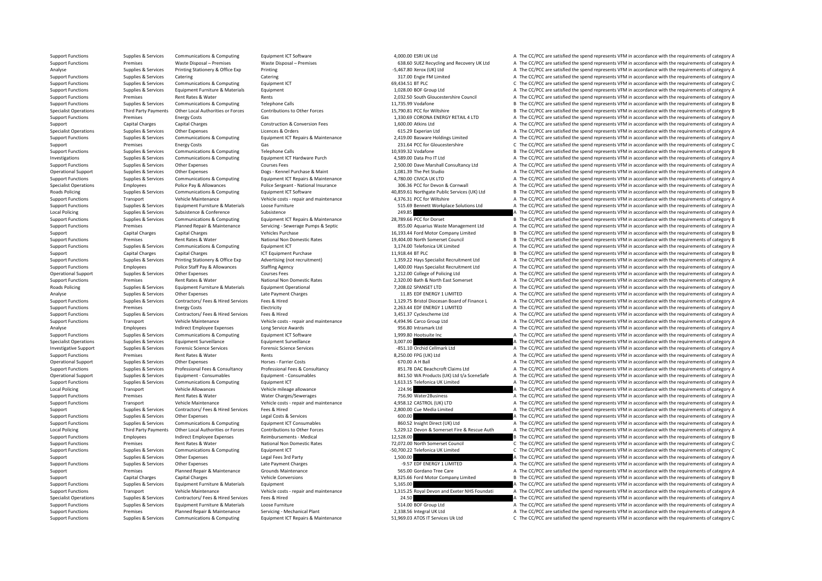Support Functions Supplies & Services Communications & Computing Equipment ICT Repairs & Maintenance 51,969.03 ATOS IT Services Uk Ltd C The CC/PCC are satisfied the spend represents VFM in accordance with the requirements

Support Functions Supplies & Services Communications & Computing Equipment ICT Software Equipment ICT Software 4,000.00 ESRI UK Ltd A The CC/PCC are satisfied the spend represents VFM in accordance with the requirements of Support Functions Premises Waste Disposal – Premises Waste Disposal – Premises Premises Functions and Recovery UK Ltd A The CC/PCC are satisfied the spend represents VFM in accordance with the requirements of category A Analyse Supplies & Services Printing Stationery & Office Exp Printing Frinting enters and the requirements of category A The CC/PCC are satisfied the spend represents VFM in accordance with the requirements of category A Support Functions Supplies & Services Catering Catering Catering Catering Catering Catering Catering Catering Catering Catering Catering Catering Catering Catering Catering Catering Catering Catering Catering Category A Th Support Functions Supplies & Services Communications & Computing Equipment ICT 69,434.51 BT PLC C The CC/PCC are satisfied the spend represents VFM in accordance with the requirements of category C Support Functions Supplies & Services Equipment Furniture & Materials Equipment Equipment 1,028.00 BOF Group Ltd A The CC/PCC are satisfied the spend represents VFM in accordance with the requirements of category A The CC/ Support Functions Premises Rent Rates & Water Rents Rents Rents Rents Rents Rents 2,032.50 South Gloucestershire Council A The CC/PCC are satisfied the spend represents VFM in accordance with the requirements of category A Support Functions Supplies & Services Communications & Computing Telephone Calls 11,735.99 Vodafone 11,735.99 Vodafone B The CC/PCC are satisfied the spend represents VFM in accordance with the requirements of category B Specialist Operations Third Party Payments Other Local Authorities or Forces Contributions to Other Forces 15.790.81 PCC for Wiltshire BETHE CC/PCC are satisfied the spend represents VFM in accordance with the requirements Support Functions Premises Energy Costs Gas Gas Gas Conversion Fees 3,330.69 CORONA ENERGY RETAIL 4 LTD A The CC/PCC are satisfied the spend represents VFM in accordance with the requirements of category A The CORONA ENERG Support Capital Charges Capital Charges Construction & Construction & Conversion Fees 1,600.00 Atkins Ltd A The CC/PCC are satisfied the spend represents VFM in accordance with the requirements of category A Specialist Operations Supplies Services Other Expenses Licences Bureaus Corders Company and COPC are satisfied the spend represents VFM in accordance with the requirements of category A The COPC are satisfied the spend rep Supplies & Services Communications & Computing Equipment ICT Repairs & Maintenance 2.419.00 Basware Holdings Limited A The CC/PCC are satisfied the spend represents VFM in accordance with the requirements of category A Support Premises Energy Costs Gas Gas 231.64 PCC for Gloucestershire C The CC/PCC are satisfied the spend represents VFM in accordance with the requirements of category C Support Functions Supplies & Services Communications & Computing Telephone Calls The Case of the spend represents of category B The CC/PCC are satisfied the spend represents VFM in accordance with the requirements of categ Investigations Supplies & Services Communications & Computing Equipment ICT Hardware Purch 4,589.00 Data Pro IT Ltd A The CC/PCC are satisfied the spend represents VFM in accordance with the requirements of category A Support Functions Supplies & Services Other Expenses Courses Fees 2,500.00 Dave Marshall Consultancy Ltd A The CC/PCC are satisfied the spend represents VFM in accordance with the requirements of category A Operational Support Supplies & Services Other Expenses Dogs - Kennel Purchase & Maint 1,081.39 The Pet Studio A The CC/PCC are satisfied the spend represents VFM in accordance with the requirements of category A Support Functions Supporters Support Communications & Computing Equipment ICT Repairs & Maintenance 4.780.00 CIVICA UK LTD A The CC/PCC are satisfied the spend represents VFM in accordance with the requirements of category Specialist Operations Employees Police Pay & Allowances Police Sergeant - National Insurance 305.36 PCC for Devon & Cornwall A The CC/PCC are satisfied the spend represents VFM in accordance with the requirements of catego B. The CC/PCC are satisfied the spend represents VEM in accordance with the requirements of category B. Support Functions Transport Vehicle Maintenance Vehicle costs ‐ repair and maintenance 4,376.31 PCC for Wiltshire A The CC/PCC are satisfied the spend represents VFM in accordance with the requirements of category A Support Functions Support Support Functions Equipment Furniture & Materials Loose Furniture (Materials Loose Furniture and the Support Materials Support Materials and the CC/PCC are satisfied the spend represents VFM in ac Local Policing Supplies & Supplies & Supplies & Subsistence Subsistence Subsistence Subsistence Subsistence Subsistence 28.09 A The CC/PCC are satisfied the spend represents VFM in accordance with the requirements of categ B The CC/PCC are satisfied the spend represents VFM in accordance with the requirements of category B Support Functions Premises Planned Repair & Maintenance Servicing - Servicing - Servicing - Servicing - Servicing - Servicing - Servicing - Servicing - Servicing - Servicing - Servicing - Servicing - Servicing - Servicing Support Capital Charges Capital Charges Vehicles Purchase Vehicles Purchase 16,193.44 Ford Motor Company Limited B The CC/PCC are satisfied the spend represents VFM in accordance with the requirements of category B Support Functions Premises Premises Rent Rates & Water National Non Domestic Rates National Non Domestic Rates National Non Domestic Rates 19,404.00 North Somerset Council B The CC/PCC are satisfied the spend represents VF A The CC/PCC are satisfied the spend represents VFM in accordance with the requirements of category A Support Capital Charges Capital Charges ICT Equipment Purchase 11,918.44 BT PLC ART B The CC/PCC are satisfied the spend represents VFM in accordance with the requirements of category B Sunnort Eunctions Sunnlies & Services Printing Stationery & Office Exp advertising (ont recruitment) 1959 22 Have Specialist Becnuitment data and religions and recruitment of category A Support Functions Employees Police Staff Pay & Allowances Staffing Agency 1,400.00 Hays Specialist Recruitment Ltd A The CC/PCC are satisfied the spend represents VFM in accordance with the requirements of category A The C A The CC/PCC are satisfied the spend represents VFM in accordance with the requirements of category A Support Functions Premises Rent Rates & Water National Non Domestic Rates 2,320.00 Bath & North East Somerset A The CC/PCC are satisfied the spend represents VFM in accordance with the requirements of category A Raterial A Roads Policing Supplies Services Equipment Furniture & Materials Equipment Operational Fundament Operational 7,208.02 SPANSET LTD A The CC/PCC are satisfied the spend represents VFM in accordance with the requirements of c Analyse Supplies & Services Other Expenses Late Payment Charges Late Payment Charges Late Payment Charges 11.85 EDF ENERGY 1 LIMITED A The CC/PCC are satisfied the spend represents VFM in accordance with the requirements o Support Functions Supporters Services Contractors/ Fees & Hired Services Fees & Hired Test & Hired Services Fees & Hired Services Fees & Hired Materia 2007 Bristol Diocesan Board of Finance L A The CC/PCC are satisfied the Support Functions Premises Energy Costs Electricity Electricity Electricity Electricity Electricity Electricity and the CONSTANTED A The CC/PCC are satisfied the spend represents VFM in accordance with the requirements of Support Functions Supplies & Services Contractors/ Fees & Hired Services Fees & Hired 3,451.37 Cyclescheme Ltd A The CC/PCC are satisfied the spend represents VFM in accordance with the requirements of category A Support Functions Transport Vehicle Maintenance Vehicle costs - repair and maintenance 4,494.96 Carco Group Ltd A The CC/PCC are satisfied the spend represents VFM in accordance with the requirements of category A Analyse Indirect Employees Analyse Expenses Long Service Awards 956.80 Intramark Ltd A The CC/PCC are satisfied the spend represents VFM in accordance with the requirements of category A Support Functions Support Functions Support Functions Support Functions Supplies A The CC/PCC are satisfied the spend represents VFM in accordance with the requirements of category A The CC/PCC are satisfied the spend represents VFM in accordance with the re Specialist Operations Supplies & Services Foujoment Surveillance Foujoment Surveillance Equipment Surveillance and a studies and a service and a specialist Operation of category A The CC/PCC are satisfied the spend represe Investigative Support Supplies & Services Forensic Science Services Forensic Science Services Forensic Science Services Forensic Science Services Forensic Science Services Forensic Science Services and a St.1.10 Orchid Cel Support Functions Premises Rent Rates & Water Rents Rents Rents Rents Rents Rents Rents Rents Rents Rents Rents Rents Rents Rents A The CC/PCC are satisfied the spend represents VFM in accordance with the requirements of c A The CC/PCC are satisfied the spend represents VFM in accordance with the requirements of category A Supplies & Services Professional Fees & Consultancy Professional Fees & Consultancy Professional Fees & Consultancy Professional Fees & Consultancy Professional Fees & Consultancy Professional Fees & Consultancy Profession Operational Support Supplies & Services Equipment - Consumables Equipment - Consumables Equipment - Consumables<br>
Support Functions (Consumerations & Computions & Computions & Computions & Computions & Computions & Computio Support Functions Support Communications & Computing Faultoment ICT 1,613.15 Telefonica UK Limited A The CC/PCC are satisfied the spend represents VFM in accordance with the requirements of category A Local Policing Transport Vehicle Allowances Vehicle mileage allowance Vehicle mileage allowance 224.96 224.96 A The CC/PCC are satisfied the spend represents VFM in accordance with the requirements of category A Support Functions Premises Rent Rates & Water Water Charges/Sewerages 756.90 Water2Business A The CC/PCC are satisfied the spend represents VFM in accordance with the requirements of category A Support Functions Transport Vehicle Maintenance Vehicle Costs – repair and maintenance Vehicle costs – repair and maintenance 4,958.12 CASTROL (UK) LTD A The CC/PCC are satisfied the spend represents VFM in accordance with Support Support Support Support Support Support Support Support Service Services Fees & Hired Services Fees & Hired 2,800.00 Cue Media Limited A The CC/PCC are satisfied the spend represents VFM in accordance with the requ Support Functions Supplies & Services Other Expenses Legal Costs & Services **Costs A The CC/PCC are satisfied the spend represents VFM in accordance with the requirements of category A** Support Functions Supplies & Services Communications & Computing Equipment ICT Consumables 860.52 Insight Direct (UK) Ltd A The CC/PCC are satisfied the spend represents VFM in accordance with the requirements of category Local Policing Third Party Payments Other Local Authorities or Forces Contributions to Other Forces 5,229.12 Devon & Somerset Fire & Rescue Auth A The CC/PCC are satisfied the spend represents VFM in accordance with the re Support Functions Employees Indirect Employee Expenses Reimbursements - Medical 12,528.00 B The CC/PCC are satisfied the spend represents VFM in accordance with the requirements of category B Support Functions Premises Rent Rates & Water National Non Domestic Rates 72,072.00 North Somerset Council C The CC/PCC are satisfied the spend represents VFM in accordance with the requirements of category C Support Functions Supplies & Services Communications & Computing Equipment ICT example and the spend of the SO,700.22 Telefonica UK Limited C The CC/PCC are satisfied the spend represents VFM in accordance with the require Support Supplies & Services Other Expenses Legal Fees 3rd Party Legal Fees 3rd Party 1,500.00 A The CC/PCC are satisfied the spend represents VFM in accordance with the requirements of category A Support Functions Supplies & Services Other Expenses Late Payment Charges Late Payment Charges Late Payment Charges Late Payment Charges A The CC/PCC are satisfied the spend represents VFM in accordance with the requiremen Support Premises Planned Repair & Maintenance Grounds Maintenance Secure Section of the CC/PCC are A The CC/PCC are astisfied the spend represents VFM in accordance with the requirements of category A The Support Care and Support Capital Charges Capital Charges Capital Charges Vehicle Conversions Vehicle Conversions 8,325.66 Ford Motor Company Limited B The CC/PCC are satisfied the spend represents VFM in accordance with the requirements of Support Functions Supplies & Services Fouloment Furniture & Materials Fouloment Functions Enteriors of category A The CC/PCC are satisfied the spend represents VFM in accordance with the requirements of category A Transport Vehicle Maintenance Vehicle Costs - repair and maintenance and any 1,315.25 Royal Devon and Exeter NHS Foundati A The CC/PCC are satisfied the spend represents VFM in accordance with the requirements of category Specialist Operations Specialist Operations Supplies A The CC/PCC are satisfied the spend represents VFM in accordance with the requirements of category A<br>A The CC/PCC are satisfied the spend represents VFM in accordance w Support Functions Supplies & Services Foulyment Furniture & Materials Loose Furniture 6 and Functions 514.00 BOF Group Ltd A The CC/PCC are satisfied the spend represents VFM in accordance with the requirements of category Support Functions Premises Planned Repair & Maintenance Servicing - Mechanical Plant 2,338.56 Integral UK Ltd A The CC/PCC are satisfied the spend represents VFM in accordance with the requirements of category A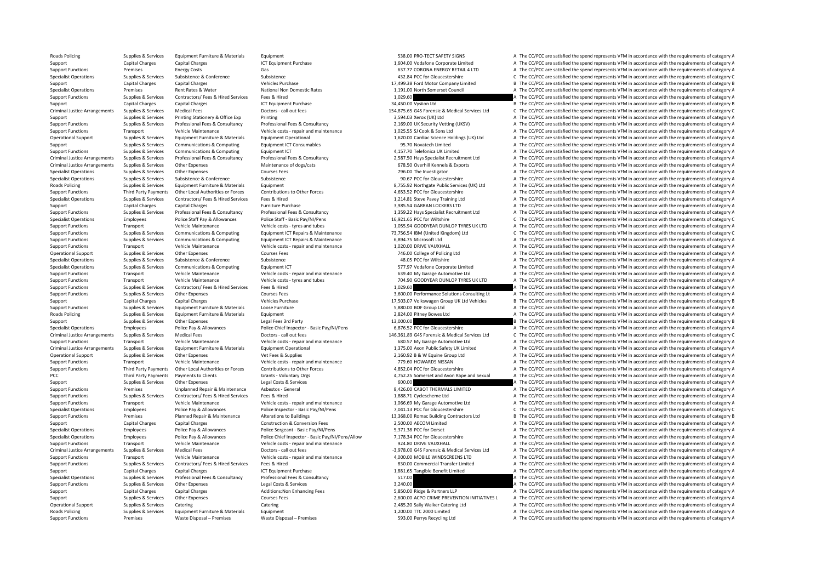Roads Policing Supplies & Supplies & Services Equipment Furniture & Materials Equipment Equipment Supplies are satisfied the Spend represents VFM in accordance with the requirements of category A Support Capital Charges Capital Charges Capital Charges 1,602 Vodafone Corporate Limited A The CC/PCC are satisfied the spend represents VFM in accordance with the requirements of category A Support Functions Premises Energy Costs Gas Gas Gas Casts Gas Costs Gas Costs Gas Costs Gas Costs Gas Costs Gas Costs Gas Costs Gas Costs Gas Costs Gas Costs Gas Costs Costs Gas Costs Gas Costs Gas Costs Costs Gas Costs Ga Specialist Operations Supplies & Services Subsistence Subsistence Subsistence Subsistence Subsistence Subsistence Subsistence Subsistence Subsistence Subsistence Subsistence Subsistence 432.84 PCC for Gloucestershire C The Support Capital Charges Capital Charges Vehicles Purchase Vehicles Purchase 17,499.38 Ford Motor Company Limited B The CC/PCC are satisfied the spend represents VFM in accordance with the requirements of category B Specialist Operations Premises Rent Rates & Water National Non Domestic Rates 1,191.00 North Somerset Council A The CC/PCC are satisfied the spend represents VFM in accordance with the requirements of category A Support Functions Supplies & Services Contractors/ Fees & Hired Services Fees & Hired The Restriction of the stategory A The CC/PCC are satisfied the spend represents VFM in accordance with the requirements of category A Support Capital Charges Capital Charges Support Capital Charges ICT Equipment Purchase 34,450.00 Vysiion Ltd B The CC/PCC are satisfied the spend represents VFM in accordance with the requirements of category B Criminal Justice Arrangements Supplies & Services Medical Fees Doctors - call out fees Doctors - call out fees Doctors - call out fees Doctors - call out fees 154.875.65 G45 Forensic & Medical Services Ltd C The CC/PCC are Support Supplies & Services Printing Stationery & Office Exp Printing 3,594.03 Xerox (UK) Ltd A The CC/PCC are satisfied the spend represents VFM in accordance with the requirements of category A Support Functions Supplies & Services Professional Fees & Consultancy Professional Fees & Consultancy Professional Fees & Consultancy Professional Fees & Consultancy 2,169.00 UK Security Vetting (UKSV) A The CC/PCC are sat Support Functions Transport Vehicle Maintenance Vehicle costs repair and maintenance 1,025.55 SJ Cook & Sons Ltd A The CC/PCC are satisfied the spend represents VFM in accordance with the requirements of category A Operational Support Support Supporter Supporter Equipment Furniture & Materials Equipment Operational Support and the COLOGITY 1.620.00 Cardiac Science Holdings (UK) Ltd A The CC/PCC are satisfied the spend represents VFM Support Support Support Support Communications & Computing Fquipment ICT Consumables 95.70 Novatech Limited A The CC/PCC are satisfied the spend represents VFM in accordance with the requirements of category A Support Functions Supplies & Services Communications & Computing Equipment ICT 4,157.70 Telefonica UK Limited A The CC/PCC are satisfied the spend represents VFM in accordance with the requirements of category A Criminal Justice Arrangements Supplies & Services Professional Fees & Consultancy Professional Fees & Consultancy Professional Fees & Consultancy Professional Fees & Consultancy 2,587.50 Hays Specialist Recruitment Ltd A T Criminal Justice Arrangements Supplies & Services Other Expenses Maintenance of dogs/cats Maintenance of dogs/cats 678.50 Overhill Kennels & Exports A The CC/PCC are satisfied the spend represents VFM in accordance with th Specialist Operations Supplies & Services Other Expenses Courses Fees Courses Fees 796.00 The Investigator A The CC/PCC are satisfied the spend represents VFM in accordance with the requirements of category A Specialist Operations Supplies & Services Subsistence Subsistence Subsistence Subsistence Subsistence Subsistence Subsistence Subsistence Subsistence Subsistence Subsistence Subsistence Subsistence Subsistence Subsistence Roads Policing Supplies Services Equipment Furniture & Materials Equipment Equipment Equipment Equipment Equipment Equipment Supplies and the Supplies A Supplies A The CC/PCC are satisfied the spend represents VFM in accor A The CC/PCC are satisfied the spend represents VEM in accordance with the requirements of category A Suppliers & Services Contractors/Fees & Hired Services Fees & Hired Exponent Contractors Fees & Hired Exponent Fees & Hired Exponent Contractors Fees & Hired Exponent Contractors Fees & Hired Exponent Contractors Fees & Hi Support Capital Charges Capital Charges Satisfact Charges Furniture Purchase 3,985.54 GARRAN LOCKERS LTD A The CC/PCC are satisfied the spend represents VFM in accordance with the requirements of category A Support Functions Supplies & Services Professional Fees & Consultancy Professional Fees & Consultancy Professional Fees & Consultancy Professional Fees & Consultancy 1,359.22 Hays Specialist Recruitment Ltd A The CC/PCC ar C The CC/PCC are satisfied the spend represents VFM in accordance with the requirements of category C Support Functions Transport Vehicle Maintenance Vehicle costs - tyres and tubes 1,055.94 GOODYEAR DUNLOP TYRES UK LTD A The CC/PCC are satisfied the spend represents VFM in accordance with the requirements of category A Support Functions Support Support Support Support Communications & Computing Equipment ICT Repairs & Maintenance 73.756.54 IBM (United Kingdom) Ltd C The CC/PCC are satisfied the spend represents VFM in accordance with the Support Functions Supplies & Services Communications & Computing Equipment ICT Repairs & Maintenance 6,894.75 Microsoft Ltd and A The CC/PCC are satisfied the spend represents VFM in accordance with the requirements of cat A The CC/PCC are satisfied the spend represents VFM in accordance with the requirements of category A Operational Support Supplies & Services Other Expenses Courses Fees Courses Fees 746.00 College of Policing Ltd A The CC/PCC are satisfied the spend represents VFM in accordance with the requirements of category A Specialist Operations Supplies & Services Subsistence Subsistence Subsistence Subsistence Subsistence Subsistence Subsistence Subsistence Subsistence Subsistence Subsistence Subsistence Subsistence Subsistence Subsistence Specialist Operations Supplies & Services Communications & Computing Equipment ICT Equipment ICT 577.97 Vodafone Corporate Limited A The CC/PCC are satisfied the spend represents VFM in accordance with the requirements of Support Functions Transport Vehicle Maintenance Vehicle costs ‐ repair and maintenance 639.40 My Garage Automotive Ltd A The CC/PCC are satisfied the spend represents VFM in accordance with the requirements of category A Support Functions Transport Vehicle Maintenance Vehicle costs - tyres and tubes 704.90 GOODYEAR DUNLOP TYRES UK LTD A The CC/PCC are satisfied the spend represents VFM in accordance with the requirements of category A Support Functions Supplies & Services Contractors/ Fees & Hired Services Fees & Hired 1,029.60 A The CC/PCC are satisfied the spend represents VFM in accordance with the requirements of category A Support Functions Supplies & Services Other Expenses Support Courses Fees 3,600.00 Performance Solutions Consulting Lt A The CC/PCC are satisfied the spend represents VFM in accordance with the requirements of category A Support Capital Charges Capital Charges Vehicles Purchase Vehicles Purchase 17,503.07 Volkswagen Group UK Ltd Vehicles B The CC/PCC are satisfied the spend represents VFM in accordance with the requirements of category B Support Functions Supplies & Services Equipment Furniture & Materials Loose Furniture Support Turniture 3,880.00 BOF Group Ltd A The CC/PCC are satisfied the spend represents VFM in accordance with the requirements of cate Roads Policing Supplies Baterials Folioment Furniture & Materials Folioment 2,824.00 Pitney Bowes Ltd A The CC/PCC are satisfied the spend represents VFM in accordance with the requirements of category A Support Supplies & Services Other Expenses Legal Fees 3rd Party 13,000.00 13,000.00 B The CC/PCC are satisfied the spend represents VFM in accordance with the requirements of category B Specialist Operations Employees Employees Police Pay & Allowances Police Chief Inspector - Basic Pay/NI/Pens 6,876.52 PCC for Gloucestershire A The CC/PCC are satisfied the spend represents VFM in accordance with the requi C The CC/PCC are satisfied the spend represents VFM in accordance with the requirements of category C Support Functions Transport Vehicle Maintenance Vehicle costs ‐ repair and maintenance 680.57 My Garage Automotive Ltd A The CC/PCC are satisfied the spend represents VFM in accordance with the requirements of category A Criminal Justice Arrangements Supplies & Services Equipment Furniture & Materials Equipment Operational Equipment Operational 1,375.00 Axon Public Safety UK Limited A The CC/PCC are satisfied the spend represents VFM in ac Operational Support Supplies & Services Other Expenses Vet Fees & Supplies Vet Fees & Supplies Vet Fees & Supplies Vet Fees & Supplies 2,160.92 B & W Equine Group Ltd A The CC/PCC are satisfied the spend represents VFM in Transport Vehicle Maintenance Vehicle costs - repair and maintenance 779.60 HOWARDS NISSAN A The CC/PCC are satisfied the spend represents VFM in accordance with the requirements of category A Support Functions Third Party Payments Other Local Authorities or Forces Contributions to Other Forces contributions to Other Forces 4,852.04 PCC for Gloucestershire A The CC/PCC are satisfied the spend represents VFM in a PCC Third Party Payments Payments to Clients Grants Voluntary Orgs Grants - Voluntary Orgs 4,752.25 Somerset and Avon Rape and Sexual A The CC/PCC are satisfied the spend represents VFM in accordance with the requirements Support Support Support Other Expenses Legal Costs & Services 600.00 A The CC/PCC are satisfied the spend represents VFM in accordance with the requirements of category A Support Functions Premises Unplanned Repair & Maintenance Asbestos - General 8,426.00 CABOT THERMALS LIMITED A The CC/PCC are satisfied the spend represents VFM in accordance with the requirements of category A Support Functions Supplies & Services Contractors/ Fees & Hired Services Fees & Hired 1,888.71 Cyclescheme Ltd A The CC/PCC are satisfied the spend represents VFM in accordance with the requirements of category A Support Functions Transport Vehicle Maintenance Vehicle costs ‐ repair and maintenance 1,066.69 My Garage Automotive Ltd A The CC/PCC are satisfied the spend represents VFM in accordance with the requirements of category A Franchopers Police Pay & Allowances Police Inspector - Basic Pay/NI/Pens 7.041.13 PCC for Gloucestershire C. The CC/PCC are satisfied the spend represents VFM in accordance with the requirements of category C. Support Functions Premises Planned Repair & Maintenance Alterations to Buildings 13,368.00 Romac Building Contractors Ltd B The CC/PCC are satisfied the spend represents VFM in accordance with the requirements of category Support Capital Charges Capital Charges Capital Charges Capital Charges Capital Charges Capital Charges Capital Charges Capital Charges Capital Charges Construction & Conversion Fees 2,500.00 AECOM Limited A The CC/PCC are Specialist Operations Employees Police Police Sergeant - Basic Pay/NI/Pens 5,371.38 PCC for Dorset A The CC/PCC are satisfied the spend represents VFM in accordance with the requirements of category A The Specialist A The Specialist Operations Fundovers Police Pay & Allowances Police Chief Inspector - Basic Pay/NI/Pens/Allow 7.178.34 PCC for Gloucestershire A The CC/PCC are satisfied the spend represents VEM in accordance with the requireme Support Functions Transport Vehicle Maintenance Vehicle costs - repair and maintenance Vehicle costs - repair and maintenance 924.80 DRIVE VAUXHALL A The CC/PCC are satisfied the spend represents VFM in accordance with the Criminal Justice Arrangements Supplies & Services Medical Fees Doctors-call out fees Doctors Call Duting and the season of the CO/PCC are satisfied the spend represents VFM in accordance with the requirements of category A Support Functions Transport Vehicle Maintenance Vehicle costs ‐ repair and maintenance 4,000.00 MOBILE WINDSCREENS LTD A The CC/PCC are satisfied the spend represents VFM in accordance with the requirements of category A Support Functions Supplies & Services Contractors/ Fees & Hired Services Fees & Hired Services Fees & Hired Services Fees & Hired A The CC/PCC are satisfied the spend represents VFM in accordance with the requirements of c Support Capital Charges Capital Charges Capital Charges ICT Equipment Purchase 1,881.65 Tangible Benefit Limited A The CC/PCC are satisfied the spend represents VFM in accordance with the requirements of category A Specialist Operations Supplies & Services Professional Fees & Consultancy Professional Fees & Consultancy Professional Fees & Consultancy Supplies A The CC/PCC are satisfied the spend represents VFM in accordance with the Support Functions Supplies & Services Other Expenses Legal Costs & Services 3,240.00 A The CC/PCC are satisfied the spend represents VFM in accordance with the requirements of category A Support Capital Charges Capital Charges Capital Charges Additions:Non Enhancing Fees 5,850.00 Ridge & Partners LLP A The CC/PCC are satisfied the spend represents VFM in accordance with the requirements of category A Cours Support Supplies & Services Other Expenses Courses Fees 2,600.00 ACPO CRIME PREVENTION INITIATIVES L A The CC/PCC are satisfied the spend represents VFM in accordance with the requirements of category A Operational Support Supplies & Services Catering Catering Catering Catering Catering Catering Catering Category A The CC/PCC are satisfied the spend represents VFM in accordance with the requirements of category A Roads Policing Supplies & Supplies & Services Equipment Furniture & Materials Equipment Equipment 1,200.00 TTC 2000 Limited A The CC/PCC are satisfied the spend represents VFM in accordance with the requirements of categor Support Functions Premises Waste Disposal – Premises Waste Disposal – Premises Waste Disposal – Premises Waste Disposal – Premises Waste Disposal – Premises Waste Disposal – Premises Waste Disposal – Premises Serves and Th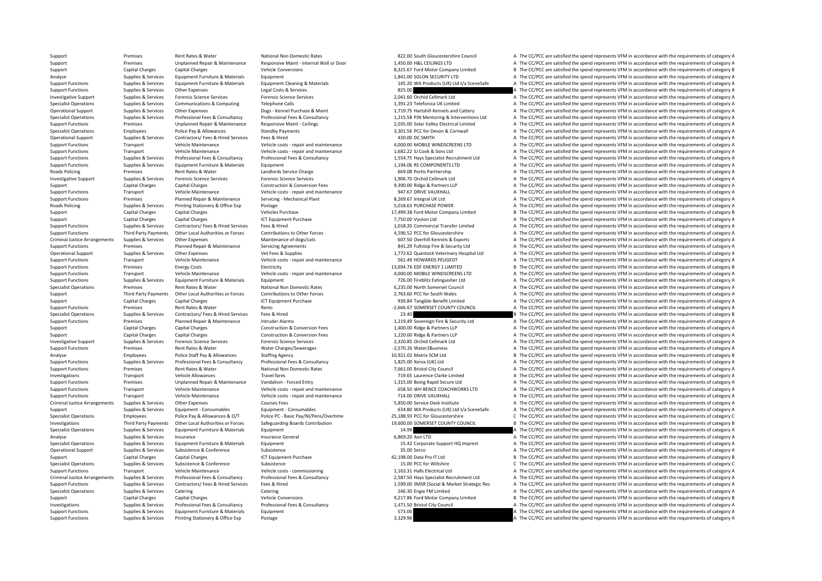Support Premises Rent Rates & Water National Non Domestic Rates 822.00 South Gloucestershire Council A The CC/PCC are satisfied the spend represents VFM in accordance with the requirements of category A Support Premises Unplanned Repair & Maintenance Responsive Maint - Internal Wall or Door 1,450.00 H&L CEILINGS LTD A The CC/PCC are satisfied the spend represents VFM in accordance with the requirements of category A Support Capital Charges Capital Charges Vehicle Conversions Vehicle Conversions 8,325.67 Ford Motor Company Limited B The CC/PCC are satisfied the spend represents VFM in accordance with the requirements of category B and Analyse Supplies & Services Equipment Furniture & Materials Equipment Equipment Equipment Equipment Equipment Equipment Equipment and the Satisfied the Spend represents VFM in accordance with the requirements of category A A The CC/PCC are satisfied the spend represents VFM in accordance with the requirements of category A Support Functions Supplies & Services Other Expenses Legal Costs & Services Legal Costs & Services Legal Costs & Services 825.00 A The CC/PCC are satisfied the spend represents VFM in accordance with the requirements of ca Investigative Support Supplies & Services Forensic Science Services Forensic Science Services Forensic Science Services Forensic Science Services Processives Forencic Science Services Forencic Science Services and the CONS Specialist Operations Supplies & Services Communications & Computing Telephone Calls 1,391.23 Telefonica UK Limited A The CC/PCC are satisfied the spend represents VFM in accordance with the requirements of category A Operational Support Support Supporter Support Operational Support of the Compare of the Compare of the Compare of the Compare of the Compare of the Compare of the Compare of the Compare of the Compare of the Compare of the Supplies & Services Professional Fees & Consultancy Professional Fees & Consultancy Professional Fees & Consultancy Professional Fees & Consultancy 1,215.58 PJN Mentoring & Interventions Ltd A The CC/PCC are satisfied the Support Functions Premises Unplanned Repair & Maintenance Responsive Maint - Ceilings 2,035.00 Solar Valley Electrical Limited A The CC/PCC are satisfied the spend represents VFM in accordance with the requirements of cate Specialist Operations Standby Police Pay & Allowances Standby Payments Standby Payments 3,301.56 PCC for Devon & Cornwall A The CC/PCC are satisfied the spend represents VFM in accordance with the requirements of category Operational Support Supplies & Services Contractors/ Fees & Hired Services Fees & Hired Services Fees & Hired 430.00 DC SMITH A The CC/PCC are satisfied the spend represents VFM in accordance with the requirements of categ Support Functions Transport Vehicle Maintenance Vehicle costs ‐ repair and maintenance 4,000.00 MOBILE WINDSCREENS LTD A The CC/PCC are satisfied the spend represents VFM in accordance with the requirements of category A Support Functions Transport Vehicle Maintenance Vehicle costs ‐ repair and maintenance 1,682.22 SJ Cook & Sons Ltd A The CC/PCC are satisfied the spend represents VFM in accordance with the requirements of category A Support Functions Supplies & Services Professional Fees & Consultancy Professional Fees & Consultancy Professional Fees & Consultancy Professional Fees & Consultancy 1,554.75 Hays Specialist Recruitment Ltd A The CC/PCC ar Support Functions Supplies & Services Equipment Furniture & Materials Equipment Equipment Equipment Equipment 1,194.06 RS COMPONENTS LTD A The CC/PCC are satisfied the spend represents VFM in accordance with the requiremen Roads Policing Premises Rent Rates & Water Landlords Service Charge Charge 669.08 Portis Partnership A The CC/PCC are satisfied the spend represents VFM in accordance with the requirements of category A Investigative Support Support Support Supporters Forensic Science Services Forensic Science Services Forensic Science Services Forensic Science Services Forensic Science Services Forensic Science Services and The CO/PCC ar Support Capital Charges Capital Charges Capital Charges Construction & Conversion Fees 9,390.00 Ridge & Partners LLP A The CC/PCC are satisfied the spend represents VFM in accordance with the requirements of category A The A The CC/PCC are satisfied the spend represents VFM in accordance with the requirements of category A Support Functions Premises Planned Repair & Maintenance Servicing - Mechanical Plant 8,269.67 Integral UK I td A The CC/PCC are satisfied the spend represents VFM in accordance with the requirements of category A Roads Policing Supplies & Services Printing Stationery & Office Exp Postage Supplies A The CC/PCC are satisfied the spend represents VFM in accordance with the requirements of category A Support Capital Charges Capital Charges Vehicles Purchase Vehicles Purchase 17,499.38 Ford Motor Company Limited B The CC/PCC are satisfied the spend represents VFM in accordance with the requirements of category B Support Support Capital Charges Capital Charges ICT Equipment Purchase 12,750.00 Vysiion Ltd A The CC/PCC are satisfied the spend represents VFM in accordance with the requirements of category A Support Functions Supplies & Services Contractors/ Fees & Hired Services Fees & Hired 1,018.20 Commercial Transfer Limited A The CC/PCC are satisfied the spend represents VFM in accordance with the requirements of category Support Functions Third Party Payments Other Local Authorities or Forces Contributions to Other Forces 4.596.52 PCC for Gloucestershire A The CC/PCC are satisfied the spend represents VFM in accordance with the requirement Criminal Justice Arrangements Supplies & Services Other Expenses Maintenance of dogs/cats Maintenance of dogs/cats Maintenance of dogs/cats and the control of the CC/PCC are satisfied the spend represents VFM in accordance A The CC/PCC are satisfied the spend represents VFM in accordance with the requirements of category A Operational Support Supplies & Services Other Expenses Vet Fees & Supplies Vet Fees & Supplies 1,772.62 Quantock Veterinary Hospital Ltd A The CC/PCC are satisfied the spend represents VFM in accordance with the requiremen Support Functions Transport Vehicle Maintenance Vehicle costs - repair and maintenance Support Transport Costs Functions and Detections of the Spend represents VFM in accordance with the requirements of category A Support Support Functions Premises Energy Costs Energy Costs Electricity Electricity Electricity Electricity Electricity 13,694.76 EDF ENERGY 1 LIMITED B The CC/PCC are satisfied the spend represents VFM in accordance with the req A The CC/PCC are satisfied the spend represents VFM in accordance with the requirements of category A Support Functions Supplies & Services Equipment Furniture & Materials Equipment Functions Equipment The COLO Fireblitz Extinguisher Ltd A The CC/PCC are satisfied the spend represents VFM in accordance with the requirement Specialist Operations Premises Rent Rates & Water National Non Domestic Rates 6,235.00 North Somerset Council A The CC/PCC are satisfied the spend represents VFM in accordance with the requirements of category A Support Third Party Payments Other Local Authorities or Forces Contributions to Other Forces 2,763.60 PCC for South Wales A The CC/PCC are satisfied the spend represents VFM in accordance with the requirements of category Support Capital Charges Capital Charges Capital Charges ICT Equipment Purchase 199.84 Tangible Benefit Limited A The CC/PCC are satisfied the spend represents VFM in accordance with the requirements of category A Support Functions Premises Rent Rates & Water Rents Rents Rents Rents Rents Rents Rents Rents Rents Rents Rents Rents Rents Rents Rents Rents Rents Rents Rents Rents Rents Rents Rents Rents Rents Rents Rents Rents Rents Re Specialist Operations Supplies & Services Contractors/ Fees & Hired Services Fees & Hired 23.40 B The CC/PCC are satisfied the spend represents VFM in accordance with the requirements of category B Support Functions Premises Planned Repair & Maintenance Intruder Alarms 1,219.49 Sovereign Fire & Security Ltd A The CC/PCC are satisfied the spend represents VFM in accordance with the requirements of category A Construct Support Capital Charges Capital Charges Capital Charges Construction & Conversion Fees 1,400.00 Ridge & Partners LLP A The CC/PCC are satisfied the spend represents VFM in accordance with the requirements of category A The Support Capital Charges Capital Charges Capital Charges Construction & Conversion Fees 1,220.00 Ridge & Partners LLP A The CC/PCC are satisfied the spend represents VFM in accordance with the requirements of category A Inv Investigative Support Supplies & Services Forensic Science Services Forensic Science Services Forensic Science Services Procensic Science Services 2,320.85 Orchid Cellmark Ltd A The CC/PCC are satisfied the spend represent Support Functions Premises Rent Rates & Water Water Charges/Sewerages – 2,570.26 Water2Business A The CC/PCC are satisfied the spend represents VFM in accordance with the requirements of category A Analyse Employees Police Staff Pay & Allowances Staffing Agency Staffing Agency Staffing Agency 10,921.02 Matrix SCM Ltd B The CC/PCC are satisfied the spend represents VFM in accordance with the requirements of category B A The CC/PCC are satisfied the spend represents VFM in accordance with the requirements of category A Support Functions Premises Rent Rates & Water National Non Domestic Rates 7,661.00 Bristol City Council A The CC/PCC are satisfied the spend represents VFM in accordance with the requirements of category A Investigations Transport Vehicle Allowances Travel fares Travel fares Travel fares 719.65 Laurence Clarke Limited A The CC/PCC are satisfied the spend represents VFM in accordance with the requirements of category A The Cr Premises Unplanned Repair & Maintenance Vandalism ‐ Forced Entry 1,315.00 Boing Rapid Secure Ltd A The CC/PCC are satisfied the spend represents VFM in accordance with the requirements of category A Support Functions Transport Vehicle Maintenance Vehicle costs - repair and maintenance 658.50 WH BENCE COACHWORKS LTD A The CC/PCC are satisfied the spend represents VFM in accordance with the requirements of category A Support Functions Transport Vehicle Maintenance Vehicle costs ‐ repair and maintenance 714.00 DRIVE VAUXHALL A The CC/PCC are satisfied the spend represents VFM in accordance with the requirements of category A Criminal Justice Arrangements Supplies & Services Other Expenses Courses Fees Courses Fees Courses Fees Supplies Courses Fees Supplies Courses Fees Supplies and the CAPCC are satisfied the spend represents VFM in accordanc Support Supporters Services Equipment - Consumables Fquipment - Consumables Fquipment - Consumables Fquipment - Consumables 634.80 WA Products (UK) Ltd t/a SceneSafe A The CC/PCC are satisfied the spend represents VFM in a Specialist Operations Employees Police Pay & Allowances & O/T Police PC - Basic Pay/NI/Pens/Overtime 25,188.93 PCC for Gloucestershire C The CC/PCC are satisfied the spend represents VFM in accordance with the requirements Investigations Third Party Payments Other Local Authorities or Forces Safeguarding Boards Contribution and the substantion of the Substantion of the Substantial Contribution and the Substantial Contribution of the Substant Supplies & Services Equipment Furniture & Materials Equipment Equipment Equipment and the spend represents of category and the conditions of category and the conditions of category and the requirements of category and the Analyse Supplies A Services Insurance Insurance Insurance General Insurance General Centeral Centeral General Centeral Centeral A The CC/PCC are satisfied the spend represents VFM in accordance with the requirements of cat Specialist Operations Supplies & Services Equipment Furniture & Materials Equipment 15.42 Corporate Support HQ Imprest A The CC/PCC are satisfied the spend represents VFM in accordance with the requirements of category A Operational Support Supplies & Services Subsistence Subsistence Subsistence Subsistence Subsistence Subsistence<br>
Subsistence Subsistence Subsistence Subsistence Subsistence Care in ETT equirements of category A The CC/PCC Support Capital Charges Capital Charges Capital Charges ICT Equipment Purchase 12,198.00 Data Pro IT Ltd B The CC/PCC are satisfied the spend represents VFM in accordance with the requirements of category B Specialist Operations Supplies & Services Subsistence Subsistence Subsistence Subsistence Subsistence Subsistence Subsistence Subsistence Subsistence Subsistence Subsistence Subsistence Subsistence Subsistence Subsistence Support Functions Transport Vehicle Maintenance Vehicle costs - commissioning 1,163.31 Halls Electrical Ltd A The CC/PCC are satisfied the spend represents VFM in accordance with the requirements of category A Criminal Justice Arrangements Supplies & Services Professional Fees & Consultancy Professional Fees & Consultancy Professional Fees & Consultancy 2,587.50 Hays Specialist Recruitment Ltd A The CC/PCC are satisfied the spen Support Functions Supplies & Services Contractors/ Fees & Hired Services Fees & Hired Hired The Services Fees & Hired Services Fees & Hired Services Fees & Hired Services Fees & Hired Services Fees & Hired Services Fees & Specialist Operations Supplies & Services Catering Catering Catering Catering Catering Catering Catering Catering Catering Catering Catering Catering Catering Catering Catering Catering Catering Catering Pathlinited A Serv B The CC/PCC are satisfied the spend represents VFM in accordance with the requirements of category B Investigations and Supplies & Services Professional Fees & Consultancy Professional Fees & Consultancy Professional Fees & Consultancy Professional Fees & Consultancy Professional Fees & Consultancy Professional Fees & Con Support Functions Supplies & Services Equipment Furniture & Materials Equipment Furniture & Materials Equipment Support Function 573.00 A The CC/PCC are satisfied the spend represents VFM in accordance with the requirement Support Functions Supplies & Services Printing Stationery & Office Exp Postage 3,329.96 3,329.96 A The CC/PCC are satisfied the spend represents VFM in accordance with the requirements of category A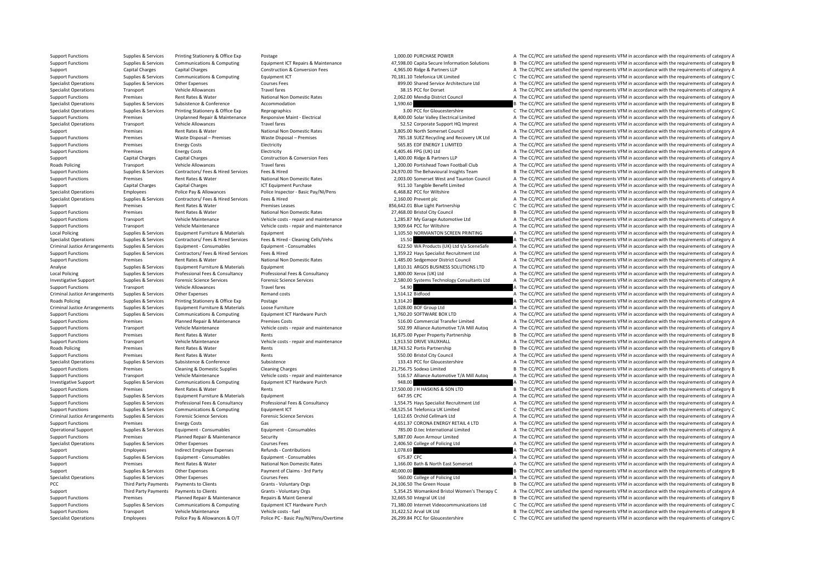Specialist Operations Employees Police Pay & Allowances & O/T Police PC - Basic Pay/NI/Pens/Overtime 26,299.84 PCC for Gloucestershire C The CC/PCC are satisfied the spend represents VFM in accordance with the requirements

Support Functions Supplies & Services Printing Stationery & Office Exp Postage 1,000.00 PURCHASE POWER 1,000.00 PURCHASE POWER A The CC/PCC are satisfied the spend represents VFM in accordance with the requirements of cate Support Functions Supplies & Services Communications & Computing Equipment ICT Repairs & Maintenance 47,598.00 Capita Secure Information Solutions B The CC/PCC are satisfied the spend represents VFM in accordance with the Support Capital Charges Capital Charges Capital Charges Construction & Conversion Fees 4,965.00 Ridge & Partners LLP A The CC/PCC are satisfied the spend represents VFM in accordance with the requirements of category A Sup Support Functions Supplies & Services Communications & Computing Equipment ICT 2000 Equipment ICT 70,181.10 Telefonica UK Limited C The CC/PCC are satisfied the spend represents VFM in accordance with the requirements of c Specialist Operations Supplies & Services Other Expenses Courses Fees 899.00 Shared Service Architecture Ltd A The CC/PCC are satisfied the spend represents VFM in accordance with the requirements of category A Specialist Operations Transport Vehicle Allowances Travel fares Travel fares Travel fares Travel fares Travel fares and the Specialist A The CC/PCC are satisfied the spend represents VFM in accordance with the requirements Support Functions Premises Rent Rates & Water National Non Domestic Rates 2,062.00 Mendip District Council A The CC/PCC are satisfied the spend represents VFM in accordance with the requirements of category A Content A The Specialist Operations Supplies & Services Subsistence Subsistence Accommodation and accordance and the spend represents VFM in accordance with the requirements of category B and the spend represents VFM in accordance with Specialist Operations Supplies & Services Printing Stationery & Office Exp Reprographics Reprographics 3.00 PCC for Gloucestershire C The CC/PCC are satisfied the spend represents VFM in accordance with the requirements of Support Functions Premises Unplanned Repair & Maintenance Responsive Maint - Electrical SAOD.00 Solar Valley Electrical Limited A The CC/PCC are satisfied the spend represents VFM in accordance with the requirements of cat Specialist Operations Transport Vehicle Allowances Travel fares Travel fares 52.52 Corporate Support HQ Imprest A The CC/PCC are satisfied the spend represents VFM in accordance with the requirements of category A The Cros Support Premises Rent Rates & Water National Non Domestic Rates 3,805.00 North Somerset Council A The CC/PCC are satisfied the spend represents VFM in accordance with the requirements of category A Support Functions Premises Waste Disposal – Premises Waste Disposal – Premises Premises 785.18 SUEZ Recycling and Recovery UK Ltd A The CC/PCC are satisfied the spend represents VFM in accordance with the requirements of c Support Functions Premises Energy Costs Functions Electricity Functions Energy Costs EDF Energy Costs Electricity Functions and the COVID-REGY 1 LIMITED A The CC/PCC are satisfied the spend represents VFM in accordance wit Support Functions Premises Energy Costs Electricity Electricity A The COSTS A The CC/PCC are satisfied the spend represents VFM in accordance with the requirements of category A Support Capital Charges Capital Charges Construction & Conversion Fees 1,400.00 Ridge & Partners LLP A The CC/PCC are satisfied the spend represents VFM in accordance with the requirements of category A Roads Policing Transport Vehicle Allowances Travel fares Travel fares 1,200.00 Portishead Town Football Club A The CC/PCC are satisfied the spend represents VFM in accordance with the requirements of category A Support Functions Supplies & Services Contractors/ Fees & Hired Services Fees & Hired Tees & Hired Contractors/ Fees & Hired Services Fees & Hired Musical Angle 24,970.00 The Behavioural Insights Team B The CC/PCC are sati Support Functions Premises Rent Rates & Water National Non Domestic Rates 2,003.00 Somerset West and Taunton Council A The CC/PCC are satisfied the spend represents VFM in accordance with the requirements of category A Support Capital Charges Capital Charges Capital Charges Support Purchase 1CT Equipment Purchase 911.10 Tangible Benefit Limited A The CC/PCC are satisfied the spend represents VFM in accordance with the requirements of cat Employees Police Pay & Allowances Police Inspector - Basic Pay/NI/Pens 6,468.82 PCC for Wiltshire A The CC/PCC are satisfied the spend represents VFM in accordance with the requirements of category A Specialist Operations Supplies & Services Contractors/ Fees & Hired Services Fees & Hired 2,160.00 Prevent plc 2,160.00 Prevent plc A The CC/PCC are satisfied the spend represents VFM in accordance with the requirements of Support Premises Rent Rates & Water Premises Leases 856,642.01 Blue Light Partnership C The CC/PCC are satisfied the spend represents VFM in accordance with the requirements of category C Support Functions Premises Premises Rent Rates & Water National Non Domestic Rates National Non Domestic Rates National Non Domestic Rates 27,468.00 Bristol City Council B The CC/PCC are satisfied the spend represents VFM Transport Vehicle Maintenance Vehicle costs - repair and maintenance 1,285.87 My Garage Automotive Ltd A The CC/PCC are satisfied the spend represents VFM in accordance with the requirements of category A Support Functions Transport Vehicle Maintenance Vehicle costs - repair and maintenance 3,909.64 PCC for Wiltshire A The CC/PCC are satisfied the spend represents VFM in accordance with the requirements of category A Local Policing Supplies & Supplies & Supplies & Services Equipment Eurniture & Materials Equipment Equipment 1,105.50 NORMANTON SCREEN PRINTING A The CC/PCC are satisfied the spend represents VFM in accordance with the req Specialist Operations Supplies & Services Contractors/ Fees & Hired Services Fees & Hired - Cleaning Cells/Vehs 15.50 15.50 A The CC/PCC are satisfied the spend represents VFM in accordance with the requirements of categor A The CC/PCC are satisfied the spend represents VFM in accordance with the requirements of category A Support Functions Supplies & Services Contractors/ Fees & Hired Services Fees & Hired Hired Services Fees & Hired Services Fees & Hired Services Fees & Hired Services Fees & Hired Services Fees & Hired Services Fees & Hire Support Functions Premises Rent Rates & Water National Non Domestic Rates 1,485.00 Sedgemoor District Council A The CC/PCC are satisfied the spend represents VFM in accordance with the requirements of category A Analyse Su Analyse Supplies & Services Equipment Furniture & Materials Equipment Equipment Equipment Equipment and the Supplies Analyse Supplies A The CC/PCC are satisfied the spend represents VFM in accordance with the requirements A The CC/PCC are satisfied the spend represents VFM in accordance with the requirements of category A 1.5 Investigative Support Supplies & Services Forensic Science Services Forensic Science Services Forensic Science Services Forensic Science Services (2,580.00 Systems Technology Consultants Ltd A The CC/PCC are satisfied Support Functions Transport Vehicle Allowances Travel fares Travel fares and the spend of the CC/PCC are satisfied the spend represents VFM in accordance with the requirements of category A Criminal Justice Arrangements Supplies & Services Other Expenses Remand costs Remand costs a Remand costs 1,514.12 Bidfood A The CC/PCC are satisfied the spend represents VFM in accordance with the requirements of category Roads Policing Supplies & Services Printing Stationery & Office Exp Postage 3,314.20 A The CC/PCC are satisfied the spend represents VFM in accordance with the requirements of category A Criminal Justice Arrangements Supplies & Services Equipment Furniture & Materials Loose Furniture and Loose Furniture and Loose Furniture and Loose Furniture and Loose Furniture and Loose Furniture and Loose Furniture and Support Functions Supplies & Services Communications & Computing Foultment ICT Hardware Purch 1,760.20 SOFTWARE BOX LTD A The CC/PCC are satisfied the spend represents VFM in accordance with the requirements of category A Support Functions Premises Planned Repair & Maintenance Premises Costs 516.00 Commercial Transfer Limited A The CC/PCC are satisfied the spend represents VFM in accordance with the requirements of category A Transport Vehicle Maintenance Vehicle costs - repair and maintenance SO2.99 Alliance Automotive T/A Mill Autoq A The CC/PCC are satisfied the spend represents VFM in accordance with the requirements of category A Vehicle M Premises Rent Rates & Water Rents of category B Rents Rents Rents Rents Rents Rents Rents Rents Rents Rents Rent<br>The CC/PCC are satisfied the spend represents VFM in accordance with the requirements of category A The SC/PC Support Functions Transport Vehicle Maintenance Vehicle costs – repair and maintenance 1,913.50 DRIVE VAUXHALL A The CC/PCC are satisfied the spend represents VFM in accordance with the requirements of category A Roads Policing Premises Rent Rates & Water Rents 18,743.52 Portis Partnership <sup>B</sup> The CC/PCC are satisfied the spend represents VFM in accordance with the requirements of category B Support Functions Premises Premises Rent Rates & Water Rents Rents Rents Rents Rents Rents Rents Rents Rents A The CONC are satisfied the spend represents VFM in accordance with the requirements of category A The CONC are Subsistence **A Service Supplies A Service Supplies A Service** A The CC/PCC are satisfied the spend represents VFM in accordance with the requirements of category A Support Functions Premises Cleaning & Domestic Supplies Cleaning Charges Cleaning Charges 21,756.75 Sodexo Limited B The CC/PCC are satisfied the spend represents VFM in accordance with the requirements of category B Support Eurotions Transport Vehicle Maintenance Vehicle costs-repair and maintenance S16.57 Alliance Automotive T/A Mill Autoq A The CC/PCC are satisfied the spend represents VFM in accordance with the requirements of cate Investigative Support Supplies & Services Communications & Computing For Formunications and Computing and Formunications & Computing Formunications and Formunications and Formunications and Formunications and Formunication Support Functions Premises Rent Rates & Water Rents 17,500.00 J H HASKINS & SON LTD <sup>B</sup> The CC/PCC are satisfied the spend represents VFM in accordance with the requirements of category B Support Functions Supplies & Services Equipment Furniture & Materials Equipment external Equipment equipment and the spend represents VFM in accordance with the requirements of category A Suppliers & Suppliers & Suppliers & Consultancy Professional Fees & Consultancy Professional Fees & Consultancy Professional Fees & Consultancy Professional Fees & Consultancy Professional Fees & Consultancy and the Suppli Support Functions Supplies & Services Communications & Computing For Functions For Equipment ICT examples and the services of category C The CC/PCC are satisfied the spend represents VFM in accordance with the requirements Criminal Justice Arrangements Supplies & Services Forensic Science Services Forensic Science Services Forensic Science Services Forensic Science Services Forensic Science Services Services Services Services Services Servic Support Functions Premises Energy Costs Gas Gas Gas Gas Gas Gas Health Consumables Gas 4,651.37 CORONA ENERGY RETAIL 4 LTD A The CC/PCC are satisfied the spend represents VFM in accordance with the requirements of category Operational Support Supplies & Services Equipment - Consumables Equipment - Consumables Equipment - Consumables Equipment - Consumables 785.00 D.tec International Limited A The CC/PCC are satisfied the spend represents VFM Support Functions Premises Planned Repair & Maintenance Security 5,887.00 Avon Armour Limited A The CC/PCC are satisfied the spend represents VFM in accordance with the requirements of category A Specialist Operations Supplies & Services Other Expenses 2008 Courses Fees 2,406.50 College of Policing Ltd A The CC/PCC are satisfied the spend represents VFM in accordance with the requirements of category A Support Employees Indirect Employee Expenses Refunds - Contributions 2,078.69 A The CC/PCC are satisfied the spend represents VFM in accordance with the requirements of category A Support Functions Supplies & Services Equipment - Consumables Equipment - Consumables Equipment - Consumables Equipment - Consumables 675.87 CPC 675.87 CPC A The CC/PCC are satisfied the spend represents VFM in accordance Support Premises Rent Rates & Water National Non Domestic Rates 1,166.00 Bath & North East Somerset A The CC/PCC are satisfied the spend represents VFM in accordance with the requirements of category A Support Supplies & Services Other Expenses Payment of Claims - 3rd Party and the Magnon and A CONCOLOGIC ART ARTY A The CC/PCC are satisfied the spend represents VFM in accordance with the requirements of category B Secial Specialist Operations Supplies & Services Other Expenses Courses Fees Courses Fees 560.00 College of Policing Ltd A The CC/PCC are satisfied the spend represents VFM in accordance with the requirements of category A PCC Third Party Payments Payments to Clients Grants Voluntary Orgs Grants Voluntary Orgs 24,106.50 The Green House B The CC/PCC are satisfied the spend represents VFM in accordance with the requirements of category B Support Third Party Payments Payments of Clients Grants - Voluntary Orgs 6 Crants Voluntary Orgs 5,354.25 Womankind Bristol Women's The analy C A The CC/PCC are satisfied the spend represents VFM in accordance with the req B The CC/PCC are satisfied the spend represents VFM in accordance with the requirements of category B Suppliers & Services Communications & Communications & Communications Communications Foujoment ICT Hardware Purch 71.380.00 Internet Videocommunications Itd C. The CC/PCC are satisfied the spend represents VEM in accordanc Support Functions Transport Vehicle Maintenance Vehicle costs – fuel Vehicle costs – fuel 31,422.52 Arval UK Ltd B The CC/PCC are satisfied the spend represents VFM in accordance with the requirements of category B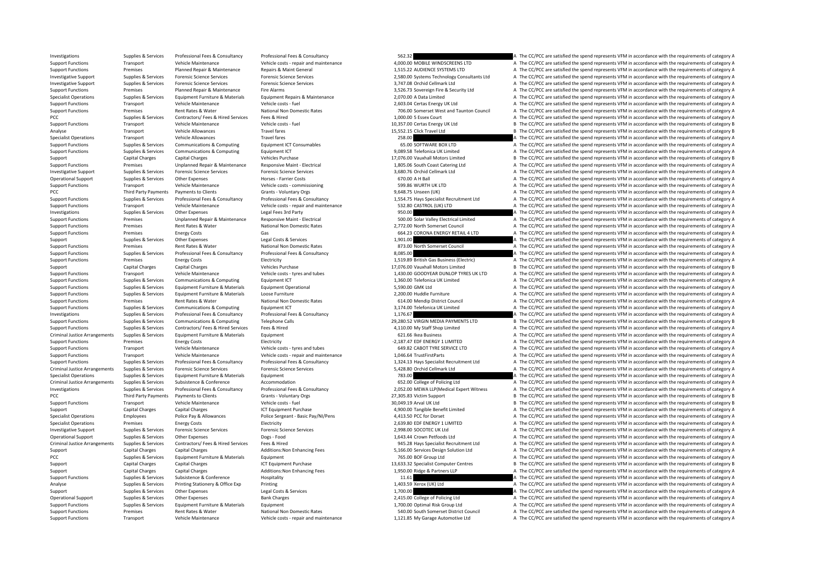Investigations Supplies & Services Professional Fees & Consultancy Professional Fees & Consultancy Professional Fees & Consultancy Security Security 562.32 A The CC/PCC are satisfied the spend represents VFM in accordance

Support Functions Transport Vehicle Maintenance Vehicle costs - repair and maintenance 4,000.00 MOBILE WINDSCREENS LTD A The CC/PCC are satisfied the spend represents VFM in accordance with the requirements of category A Support Functions Premises Planned Repair & Maintenance Repairs & Maint General 1,515.22 AUDIENCE SYSTEMS LTD A The CC/PCC are satisfied the spend represents VFM in accordance with the requirements of category A Investigative Support Supplies & Services Forensic Science Services Forensic Science Services Forensic Science Services Forensic Science Services Forensic Science Services and the case of the Support of the CC/PCC are sati Investigative Support Supplies & Services Forensic Science Services Forensic Science Services 3,747.08 Orchid Cellmark Ltd A The CC/PCC are satisfied the spend represents VFM in accordance with the requirements of category A Support Functions Premises Planned Repair & Maintenance Fire Alarms 3,526.73 Sovereign Fire & Security Ltd A The CC/PCC are satisfied the spend represents VFM in accordance with the requirements of category A Supplies & Supplies & Supplies & Supplies & Supplies & Supplierent Furniture & Materials Equipment Repairs & Maintenance 2,070.00 A Data Limited A The CC/PCC are satisfied the spend represents VFM in accordance with the re Support Functions Transport Vehicle Maintenance Vehicle costs – fuel 2,603.04 Certas Energy UK Itd A The CC/PCC are satisfied the spend represents VFM in accordance with the requirements of category A Support Functions Premises Rent Rates & Water National Non Domestic Rates 706.00 Somerset West and Taunton Council A The CC/PCC are satisfied the spend represents VFM in accordance with the requirements of category A PCC Supplies & Services Contractors/ Fees & Hired Services Fees & Hired 1,000.00 S Essex Court A The CC/PCC are satisfied the spend represents VFM in accordance with the requirements of category A Support Functions Transport Vehicle Maintenance Vehicle costs – fuel vehicle costs – fuel 10,357.00 Certas Energy UK Ltd B The CC/PCC are satisfied the spend represents VFM in accordance with the requirements of category B Analyse Transport Vehicle Allowances Travel fares Travel fares 15,552.15 Click Travel Ltd B The CC/PCC are satisfied the spend represents VFM in accordance with the requirements of category B Specialist Operations Transport Vehicle Allowances Travel fares Travel fares 258.00 A The CC/PCC are satisfied the spend represents VFM in accordance with the requirements of category A The COMERC AREA END IN A The COPC ar Support Functions Supplies & Services Communications & Computing Equipment ICT Consumables 65.00 SOFTWARE BOX LTD A The CC/PCC are satisfied the spend represents VFM in accordance with the requirements of category A Suppor Support Functions Supplies & Services Communications & Computing Equipment ICT example and the support Equipment ICT 9,089.58 Telefonica UK Limited A The CC/PCC are satisfied the spend represents VFM in accordance with the Support Capital Charges Capital Charges Vehicles Purchase Vehicles Purchase 17,076.00 Vauxhall Motors Limited B The CC/PCC are satisfied the spend represents VFM in accordance with the requirements of category B Support Functions Premises Unplanned Repair & Maintenance Responsive Maint - Electrical 1,805.06 South Coast Catering Ltd A The CC/PCC are satisfied the spend represents VFM in accordance with the requirements of category Investigative Support Supplies & Services Forensic Science Services Forensic Science Services Forensic Science Services Forensic Science Services and The CC/PCC are satisfied the spend represents VFM in accordance with the Operational Support Support Support Supporters Supporters Other Expenses Horses - Farrier Costs 670.00 A H Ball A The CC/PCC are satisfied the spend represents VFM in accordance with the requirements of category A Support Functions Transport Vehicle Maintenance Vehicle costs - commissioning 599.86 WURTH UK LTD A The CC/PCC are satisfied the spend represents VFM in accordance with the requirements of category A The CC/PCC are satisfi PCC The CC/PCC are satisfied the spend represents VFM in accordance with the requirements of category A The CC/PCC are satisfied the spend represents VFM in accordance with the requirements of category A The CC/PCC are sat Suppliers & Services Professional Fees & Consultancy Professional Fees & Consultancy Professional Fees & Consultancy Professional Fees & Consultancy Professional Fees & Consultancy Professional Fees & Consultancy Professio Support Functions Transport Vehicle Maintenance Vehicle costs - repair and maintenance S32.80 CASTROL (UK) LTD A The CC/PCC are satisfied the spend represents VFM in accordance with the requirements of category A Investigations Supplies Services Other Expenses Legal Fees 3rd Party Legal Fees 3rd Party and the service of the COMEN DATE COMEN DATE CONCLOUSE A The CC/PCC are satisfied the spend represents VFM in accordance with the re A The CC/PCC are satisfied the spend represents VFM in accordance with the requirements of category A Support Functions Premises Rent Rates & Water National Non Domestic Rates 2,772.00 North Somerset Council A The CC/PCC are satisfied the spend represents VFM in accordance with the requirements of category A Support Functions Premises Energy Costs Gas Gas Gas Gas Gas CoRONA ENERGY RETAIL 4 LTD A The CC/PCC are satisfied the spend represents VFM in accordance with the requirements of category A Support Functions Support Categor Support Supplies Supplies & Services Other Expenses Legal Costs & Services Legal Costs & Services Legal Costs & Services 1,901.00 A The CC/PCC are satisfied the spend represents VFM in accordance with the requirements of c Support Functions Premises a Water Artes Rent Rates 8.00 Non-<br>A The CC/PCC are satisfied the spend represents VFM in accordance with the requirements of category A Support Functions Supplies & Services Professional Fees & Consultancy Professional Fees & Consultancy Professional Fees & Consultancy Professional Fees & Consultancy Professional Fees & Consultancy Professional Fees & Cons Support Functions Premises Energy Costs Electricity Electricity Electricity Electricity Electricity and the spend represents VFM in accordance with the requirements of category A The CC/PCC are satisfied the spend represen Support Capital Charges Capital Charges Capital Charges Vehicles Purchase Vehicles Purchase Vehicles Purchase Vehicles Purchase 17,076.00 Vauxhall Motors Limited B The CC/PCC are satisfied the spend represents VFM in accor A The CC/PCC are satisfied the spend represents VFM in accordance with the requirements of category A Support Functions Supplies & Services Communications & Computing Equipment ICT Equipment ICT 1,360.00 Telefonica UK Limited A The CC/PCC are satisfied the spend represents VFM in accordance with the requirements of categor Support Functions Supplies & Services Fouloment Furniture & Materials Fouloment Operational 5,590.00 GMK Itd A The CC/PCC are satisfied the spend represents VFM in accordance with the requirements of category A Support Functions Supplies & Services Equipment Furniture Materials Loose Furniture Loose Furniture 2,200.00 Huddle Furniture A The CC/PCC are satisfied the spend represents VFM in accordance with the requirements of categ Support Functions Premises Rent Rates & Water National Non Domestic Rates 614.00 Mendin District Council A The CC/PCC are satisfied the spend represents VFM in accordance with the requirements of category A Support Functions Supplies & Services Communications & Computing Equipment ICT Equipment ICT Support The Service of The Computing Support Functions and the CONSTANT A The CC/PCC are satisfied the spend represents VFM in ac Investigations Supplies & Services Professional Fees & Consultancy Professional Fees & Consultancy Professional Fees & Consultancy A The CC/PCC are satisfied the spend represents VFM in accordance with the requirements of Support Functions Supplies & Services Communications & Computing Telephone Calls Telephone Calls 29,280.52 VIRGIN MEDIA PAYMENTS LTD B The CC/PCC are satisfied the spend represents VFM in accordance with the requirements o Support Functions Supplies & Services Contractors/ Fees & Hired Services Fees & Hired 4,110.00 My Staff Shop Limited A The CC/PCC are satisfied the spend represents VFM in accordance with the requirements of category A Cri Criminal Tustical Justice Arrangement 621.66 Ikea Business **Arrangement Fund Arrangement Furniture Arrangement 6**<br>2.187.47 FDF ENFRGY 11 IMITED **A The CC/PCC are satisfied the spend represents VFM in accordance with the re** Support Functions Premises Energy Costs Functions Electricity Functions Electricity Electricity Functions and represents VFM in accordance with the requirements of category A Support Functions Transport Vehicle Maintenance Vehicle costs – tyres and tubes 649.82 CABOT TYRE SERVICE LTD A The CC/PCC are satisfied the spend represents VFM in accordance with the requirements of category A Support Functions Transport Vehicle Maintenance Vehicle costs – repair and maintenance Vehicle costs – repair and maintenance 1,046.64 TrustFirstParts A The CC/PCC are satisfied the spend represents VFM in accordance with A The CC/PCC are satisfied the spend represents VFM in accordance with the requirements of category A Criminal Justice Arrangements Supplies & Services Forensic Science Services Forensic Science Services Forensic Science Services Forensic Science Services Forensic Science Services and S,428.80 Orchid Cellmark Ltd A The CC/ Specialist Operations Supplies & Services Equipment Furniture & Materials Equipment Equipment Equipment Equipment Purniture & Materials Equipment and Supplies and The CC/PCC are satisfied the spend represents VFM in accord Criminal Justice Arrangements Supplies & Services Subsistence & Conference Accommodation 652.00 College of Policing Ltd A The CC/PCC are satisfied the spend represents VFM in accordance with the requirements of category A Investigations Supplies & Services Professional Fees & Consultancy Professional Fees & Consultancy Professional Fees & Consultancy Professional Fees & Consultancy Professional Fees & Consultancy Professional Fees & Consult PCC Third Party Payments Payments to Clients Grants - Voluntary Orgs Grants - Voluntary Orgs 27,305.83 Victim Support B The CC/PCC are satisfied the spend represents VFM in accordance with the requirements of category B Support Functions Transport Vehicle Maintenance Vehicle costs – fuel Vehicle costs – fuel 30,049.19 Arval UK Ltd B The CC/PCC are satisfied the spend represents VFM in accordance with the requirements of category B The Cos Support Capital Charges Capital Charges Capital Charges ICT Equipment Purchase 1,900.00 Tangible Benefit Limited A The CC/PCC are satisfied the spend represents VFM in accordance with the requirements of category A Specialist Operations Employees Police Pay & Allowances Police Sergeant - Basic Pay/NI/Pens 4,413.50 PCC for Dorset A The CC/PCC are satisfied the spend represents VFM in accordance with the requirements of category A Specialist Operations Premises Energy Costs Energy Costs Electricity Electricity Electricity Electricity Electricity Electricity and the Spend Represent A The CC/PCC are satisfied the spend represents VFM in accordance wit Investigative Support Supplies & Services Forensic Science Services Forensic Science Services Forensic Science Services Forensic Science Services and The CO/PCC are satisfied the spend represents VFM in accordance with the Operational Support Supplies & Services Other Expenses Dogs - Food Dogs - Food 1,643.44 Crown Petfoods Ltd A The CC/PCC are satisfied the spend represents VFM in accordance with the requirements of category A Criminal Justice Arrangements Supplies & Services Contractors/ Fees & Hired Services Fees & Hired Hired Services Fees & Hired Services Fees & Hired Services Fees & Hired Services Pees & Hired Services Contractors/ Fees & H Support Capital Charges Capital Charges Additions:Non Enhancing Fees 5,166.00 Services Design Solution Ltd A The CC/PCC are satisfied the spend represents VFM in accordance with the requirements of category A PCC Supplies & Services Equipment Furniture & Materials Equipment Furniture & Materials Equipment Purniture & Materials Equipment A The CC/PCC are satisfied the spend represents VFM in accordance with the requirements of c Support Capital Charges Capital Charges Capital Charges ICT Equipment Purchase 13,633.32 Specialist Computer Centres B The CC/PCC are satisfied the spend represents VFM in accordance with the requirements of category B Support Capital Charges Capital Charges Additions:Non Enhancing Fees 1,950.00 Ridge & Partners LLP A The CC/PCC are satisfied the spend represents VFM in accordance with the requirements of category A Support Functions Supplies & Services Subsistence & Conference Hospitality Hospitality 11.61 A The CC/PCC are satisfied the spend represents VFM in accordance with the requirements of category A Analyse Supplies & Services Printing Stationery & Office Exp Printing 1,403.59 Xerox (UK) Ltd A The CC/PCC are satisfied the spend represents VFM in accordance with the requirements of category A Support Supplies & Services Other Expenses Legal Costs & Services 1,700.00 A The CC/PCC are satisfied the spend represents VFM in accordance with the requirements of category A The COMEN in accordance with the requirements A The CC/PCC are satisfied the spend represents VFM in accordance with the requirements of category A Support Functions Supplies & Services Equipment Eurniture & Materials Equipment Equipment Equipment Equipment Equipment Equipment and the Support A The CC/PCC are satisfied the spend represents VFM in accordance with the r Support Functions Premises Rent Rates & Water National Non Domestic Rates 540.00 South Somerset District Council A The CC/PCC are satisfied the spend represents VFM in accordance with the requirements of category A Support Functions Transport Vehicle Maintenance Vehicle costs - repair and maintenance 1,121.85 My Garage Automotive Ltd A The CC/PCC are satisfied the spend represents VFM in accordance with the requirements of category A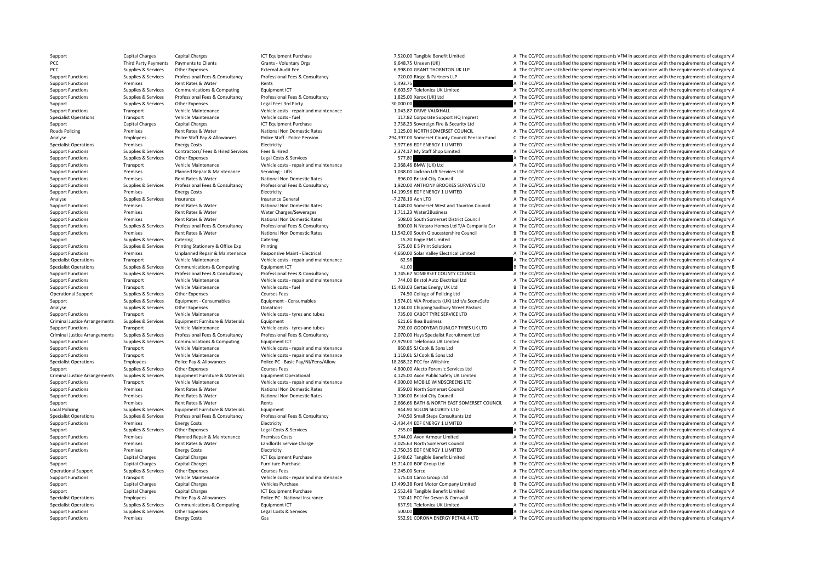Support Capital Charges Capital Charges Capital Charges ICT Equipment Purchase 17,520.00 Tangible Benefit Limited A The CC/PCC are satisfied the spend represents VFM in accordance with the requirements of category A

## PCC Third Party Payments Payments to Clients Grants - Voluntary Orgs 9,648.75 Unseen (UK) A The CC/PCC are satisfied the spend represents VFM in accordance with the requirements of category A PCC Supplies & Services Other Expenses External Audit Fee External Audit Fee 6,998.00 GRANT THORNTON UK LLP A The CC/PCC are satisfied the spend represents VFM in accordance with the requirements of category A Thomas Regis Support Functions Supplies & Services Professional Fees & Consultancy Professional Fees & Consultancy Professional Fees & Consultancy Professional Fees & Consultancy Professional Fees & Consultancy 720.00 Ridge & Partners Premises Rent Rates & Water Rents Rents Rents Rents Rents Rents Rents Rents Rents Rents Rent Rates Rent Rates Rent Rents Street Rents Street Rent Rents Rents Rents Rents Rents Rents Rents Rents Rents Rents Rents Rents Rent

Support Functions Supplies & Services Communications & Computing Equipment ICT examples and the spend of the CC/PCC are satisfied the spend represents VFM in accordance with the requirements of category A Support Functions Supplies & Services Professional Fees & Consultancy Professional Fees & Consultancy Professional Fees & Consultancy Professional Fees & Consultancy Professional Fees & Consultancy Professional Fees & Cons Support Support Support Support Other Expenses Legal Fees 3rd Party 20,000.00 30,000.00 B The CC/PCC are satisfied the spend represents VFM in accordance with the requirements of category B Support Functions Transport Vehicle Maintenance Vehicle costs - repair and maintenance 1,043.87 DRIVE VAUXHALL A The CC/PCC are satisfied the spend represents VFM in accordance with the requirements of category A Specialist Operations Transport Vehicle Maintenance Vehicle costs - fuel Vehicle costs - fuel 117.82 Corporate Support HQ Imprest A The CC/PCC are satisfied the spend represents VFM in accordance with the requirements of c Support Capital Charges Capital Charges Capital Charges ICT Equipment Purchase 3,738.23 Sovereign Fire & Security Ltd A The CC/PCC are satisfied the spend represents VFM in accordance with the requirements of category A Th Roads Policing Premises Rent Rates & Water National Non Domestic Rates 3,125.00 NORTH SOMERSET COUNCIL A The CC/PCC are satisfied the spend represents VFM in accordance with the requirements of category A Employees Police Staff Pay & Allowances Police Staff - Police Staff - Police Staff - Police Staff - Police Staff - Police Staff - Police Staff - Police Staff - Police Pension 294,397.00 Somerset County Council Pension Fund Specialist Operations Premises Energy Costs Electricity Electricity Electricity Electricity Electricity and the state of the SPAN of the CC/PCC are satisfied the spend represents VFM in accordance with the requirements of Support Functions Supplies & Services Contractors/ Fees & Hired Services Fees & Hired The Services Fees & Hired 2,374.17 My Staff Shop Limited A The CC/PCC are satisfied the spend represents VFM in accordance with the requ Support Functions Supplies & Services Other Expenses Legal Costs & Services Services 577.80 A The CC/PCC are satisfied the spend represents VFM in accordance with the requirements of category A Support Functions Transport Vehicle Maintenance Vehicle costs - repair and maintenance 2,368.46 BMW (UK) Ltd A The CC/PCC are satisfied the spend represents VFM in accordance with the requirements of category A Support Functions Premises Planned Repair & Maintenance Servicing - Lifts 1,038.00 Jackson Lift Services Ltd A The CC/PCC are satisfied the spend represents VFM in accordance with the requirements of category A Support Functions Premises Rent Rates & Water National Non Domestic Rates 896.00 Bristol City Council A The CC/PCC are satisfied the spend represents VFM in accordance with the requirements of category A Support Functions Supplies & Services Professional Fees & Consultancy Professional Fees & Consultancy Professional Fees & Consultancy 1,920.00 ANTHONY BROOKES SURVEYS LTD A The CC/PCC are satisfied the spend represents VFM Functions Premises Energy Constants Premises Energy Costs Energy Costs Energy Costs Energy Costs Energy Costs Energy Costs Energy Costs Energy Costs Energy Costs Energy Costs Energy B The CC/PCC are satisfied the spend rep Analyse Supplies A Services Insurance Insurance Insurance General **Figure 2006** -7,278.19 Aon LTD A The CC/PCC are satisfied the spend represents VFM in accordance with the requirements of category A Support Functions Premises Rent Rates & Water National Non Domestic Rates 1,448.00 Somerset West and Taunton Council A The CC/PCC are satisfied the spend represents VFM in accordance with the requirements of category A Support Functions Premises Rent Rates & Water Mater Charges/Sewerages 1,711.23 Water 2Business A The CC/PCC are satisfied the spend represents VFM in accordance with the requirements of category A The Support Functions Pre Premises Rent Rates & Water Mational Non Domestic Rates Support A The CC/PCC are satisfied the spend represents VFM in accordance with the requirements of category A Support Functions Supporters & Services Professional Fees & Consultancy Professional Fees & Consultancy Professional Fees & Consultancy Professional Fees & Consultancy and the Support of a state of A The CC/PCC are satisfi Support Functions Premises Rent Rates & Water National Non Domestic Rates 11,542.00 South Gloucestershire Council B The CC/PCC are satisfied the spend represents VFM in accordance with the requirements of category B Support Supplies Supplies & Services Catering Catering Catering Catering Catering Catering Catering Catering Catering Catering Catering Catering a Support The CC/PCC are satisfied the spend represents VFM in accordance wit Printing ST5.00 E S Print Solutions A The CC/PCC are satisfied the spend represents VFM in accordance with the requirements of category A Support Functions Premises Unplanned Repair & Maintenance Responsive Maint - Electrical Support A 550.00 Solar Valley Electrical Limited A The CC/PCC are satisfied the spend represents VFM in accordance with the requiremen Specialist Operations Transport Vehicle Maintenance Vehicle costs ‐ repair and maintenance 62.98 A The CC/PCC are satisfied the spend represents VFM in accordance with the requirements of category A Specialist Operations Supplies & Services Communications & Computing Equipment ICT Equipment ICT Equipment ICT 41.00 B The CC/PCC are satisfied the spend represents VFM in accordance with the requirements of category B<br>Sup A The CC/PCC are satisfied the spend represents VFM in accordance with the requirements of category A Support Functions Transport Vehicle Maintenance Vehicle costs - repair and maintenance 744.00 Bristol Auto Electrical Ltd A The CC/PCC are satisfied the spend represents VFM in accordance with the requirements of category Support Functions Transport Vehicle Maintenance Vehicle costs – fuel 15,403.03 Certas Energy UK Itd B The CC/PCC are satisfied the spend represents VFM in accordance with the requirements of category B Operational Support Supplies & Services Other Expenses Courses Fees Courses Fees 74.50 College of Policing Ltd A The CC/PCC are satisfied the spend represents VFM in accordance with the requirements of category A Support Support Support Services Equipment Consumables Equipment • Consumables Equipment • Consumables Equipment • Consumables Equipment • Consumables Equipment • Consumables Equipment • Consumables and the service of the Analyse Supplies Services Other Expenses Donations Donations Donations Donations 1,234.00 Chipping Sodbury Street Pastors A The CC/PCC are satisfied the spend represents VFM in accordance with the requirements of category Support Functions Transport Vehicle Maintenance Vehicle costs – tyres and tubes 735.00 CABOT TYRE SERVICE LTD A The CC/PCC are satisfied the spend represents VFM in accordance with the requirements of category A Criminal Justice Arrangements Supplies & Services Equipment Eurniture & Materials Equipment Equipment Equipment Equipment Equipment Equipment and the Service of Service of Service Criminal Justice Arrangements Supplies A T Support Functions Transport Vehicle Maintenance Vehicle costs - tyres and tubes 792.00 GOODYEAR DUNLOP TYRES UK LTD A The CC/PCC are satisfied the spend represents VFM in accordance with the requirements of category A The Criminal Justice Arrangements Supplies & Services Professional Fees & Consultancy Professional Fees & Consultancy Professional Fees & Consultancy Professional Fees & Consultancy Professional Fees & Consultancy Professional Support Functions Supplies & Services Communications & Computing For Functions and C The COMPOS Telefonica UK Limited C The CC/PCC are satisfied the spend represents VFM in accordance with the requirements of category C Support Functions Transport Vehicle Maintenance Vehicle costs - repair and maintenance 860.85 SJ Cook & Sons Ltd A The CC/PCC are satisfied the spend represents VFM in accordance with the requirements of category A Support Functions Transport Vehicle Maintenance Vehicle costs – repair and maintenance Vehicle costs – repair and maintenance 1,119.61 SJ Cook & Sons Ltd A The CC/PCC are satisfied the spend represents VFM in accordance wi Employees Police Pay & Allowances Police PC - Basic Pay/NI/Pens/Allow 18,268.22 PCC for Wiltshire C The CC/PCC are satisfied the spend represents VFM in accordance with the requirements of category C Support Supplies & Services Other Expenses Courses Fees Courses Fees Courses Fees 4,800.00 Alecto Forensic Services Ltd A The CC/PCC are satisfied the spend represents VFM in accordance with the requirements of category A Criminal Justice Arrangements Supplies & Services Equipment Furniture & Materials Equipment Operational Equipment Operational and the senate value of the CC/PCC are satisfied the spend represents VFM in accordance with the Support Functions Transport Vehicle Maintenance Vehicle costs ‐ repair and maintenance 4,000.00 MOBILE WINDSCREENS LTD A The CC/PCC are satisfied the spend represents VFM in accordance with the requirements of category A Support Functions Premises Rent Rates & Water National Non Domestic Rates 859.00 North Somerset Council A The CC/PCC are satisfied the spend represents VFM in accordance with the requirements of category A Support Functions Premises Rent Rates & Water National Non Domestic Rates 7.106.00 Bristol City Council A The CC/PCC are satisfied the spend represents VFM in accordance with the requirements of category A Support Premises Rent Rates & Water Rents Rents Rents Rents Rents Rents Rents Rents Rents Rents Rents Rents Rents Rents Rents Rents Rents Rents Rents Rents Rents Rents Rents Rents Rents Rents Rents Rents Rents Rents Rents Local Policing Supplies & Services Equipment Furniture & Materials Foulnment and Services Equipment and Services Equipment and The CC/PCC are satisfied the spend represents VFM in accordance with the requirements of catego Supplies & Services Professional Fees & Consultancy Professional Fees & Consultancy Professional Fees & Consultancy Professional Fees & Consultancy 740.50 Small Steps Consultants Ltd A The CC/PCC are satisfied the spend re Support Functions Premises Energy Costs Electricity Electricity Electricity Electricity Electricity entries and the management of category A The CC/PCC are satisfied the spend represents VFM in accordance with the requirem Support Supplies & Services Other Expenses Legal Costs & Services 255.00 255.00 A The CC/PCC are satisfied the spend represents VFM in accordance with the requirements of category A The Creative are satisfied the spend rep Support Functions Premises Planned Repair & Maintenance Premises Costs 5,744.00 Avon Armour Limited A The CC/PCC are satisfied the spend represents VFM in accordance with the requirements of category A Support Functions Premises Rent Rates & Water Landlords Service Charge 3,025.63 North Somerset Council A The CC/PCC are satisfied the spend represents VFM in accordance with the requirements of category A The requirements Support Functions Premises Energy Costs Electricity Electricity Electricity Electricity Electricity entergy A The CC/PCC are satisfied the spend represents VFM in accordance with the requirements of category A The CONDEC a Support Capital Charges Capital Charges Capital Charges ICT Equipment Purchase 2,648.62 Tangible Benefit Limited A The CC/PCC are satisfied the spend represents VFM in accordance with the requirements of category A Support Capital Charges Capital Charges Furniture Purchase 15,714.00 BOF Group Ltd B The CC/PCC are satisfied the spend represents VFM in accordance with the requirements of category B Operational Support Supplies & Services Other Expenses 2007 Courses Fees 2,245.00 Serco 2,245.00 Serco A The CC/PCC are satisfied the spend represents VFM in accordance with the requirements of category A Support Functions Transport Vehicle Maintenance Vehicle Costs - repair and maintenance STS.04 Carco Group Ltd A The CC/PCC are satisfied the spend represents VFM in accordance with the requirements of category A The CONCE Support Capital Charges Capital Charges Vehicles Purchase Vehicles Purchase 17,499.38 Ford Motor Company Limited B The CC/PCC are satisfied the spend represents VFM in accordance with the requirements of category B Support Capital Charges Capital Charges Capital Charges 2014 CT Equipment Purchase 2,552.48 Tangible Benefit Limited A The CC/PCC are satisfied the spend represents VFM in accordance with the requirements of category A The A The CC/PCC are satisfied the spend represents VFM in accordance with the requirements of category A Specialist Operations Supplies & Services Communications & Computing For Equipment ICT 637.91 Telefonica UK Limited A The CC/PCC are satisfied the spend represents VFM in accordance with the requirements of category A Support Functions Supplies & Services Other Expenses Legal Costs & Services Legal Costs & Services Support Functions A The CC/PCC are satisfied the spend represents VFM in accordance with the requirements of category A Support Functions Premises Energy Costs Gas Gas Gas Support Functions Category A The CC/PCC are satisfied the spend represents VFM in accordance with the requirements of category A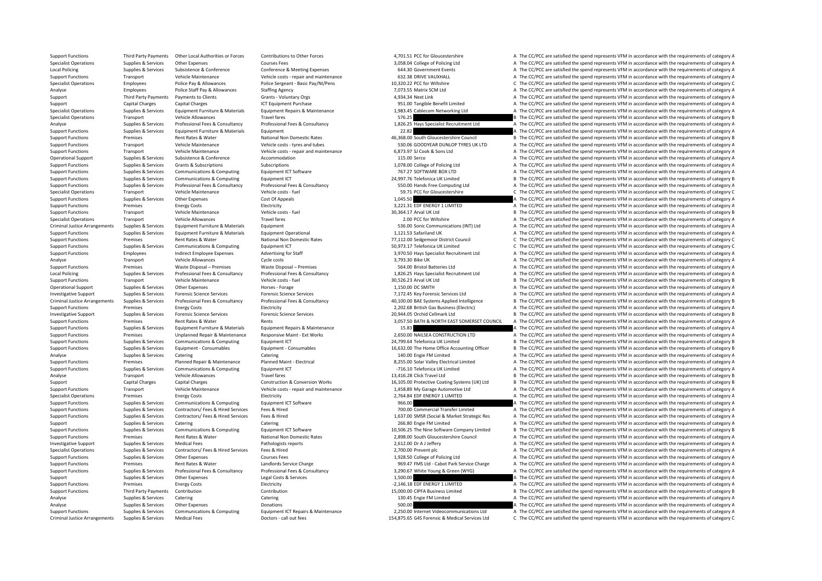Support Functions Third Party Payments Other Local Authorities or Forces Contributions to Other Forces A,701.51 PCC for Gloucestershire A The CC/PCC are satisfied the spend represents VFM in accordance with the requirement Specialist Operations Supplies & Services Other Expenses Supplies Courses Fees Supplies A The CC/PCC are satisfied the spend represents VFM in accordance with the requirements of category A Local Policing Supplies & Services Subsistence & Conference Conference Conference Conference Conference Conference Conference Conference Conference Conference Conference Conference Conference a Conference of the CONFerence Support Functions Transport Vehicle Maintenance Vehicle costs – repair and maintenance vehicle costs – repair and maintenance and the Sackle Sackle Maintenance and the CC/PCC are satisfied the spend represents VFM in accor Employees Police Pay & Allowances Police Sergeant - Basic Pay/NI/Pens 10,320,22 PCC for Wiltshire C The CC/PCC are satisfied the spend represents VFM in accordance with the requirements of category C Employees Police Staff Pay & Allowances Staffing Agency Staffing Agency and the State of Agency 7,073.55 Matrix SCM Ltd A The CC/PCC are satisfied the spend represents VFM in accordance with the requirements of category A Third Party Payments Payments to Clients Grants - Voluntary Orgs Grants - Voluntary Orgs 4,934.34 Next Link A The CC/PCC are satisfied the spend represents VFM in accordance with the requirements of category A Support Capital Charges Capital Charges Capital Charges ICT Equipment Purchase 951.00 Tangible Benefit Limited A The CC/PCC are satisfied the spend represents VFM in accordance with the requirements of category A Suppliers & Services Suppliers Equipment Furniture & Materials Equipment Repairs & Maintenance 1.983.45 Cablecom Networking Ltd A The CC/PCC are satisfied the spend represents VFM in accordance with the requirements of cat Specialist Operations Transport Vehicle Allowances Travel fares Travel fares ST6.25 B The CC/PCC are satisfied the spend represents VFM in accordance with the requirements of category B Supplies & Services Professional Fees & Consultancy Professional Fees & Consultancy Professional Fees & Consultancy Professional Fees & Consultancy Professional Fees & Consultancy Professional Fees & Consultancy A The CO/P Support Functions Supplies & Services Equipment Furniture & Materials Equipment 22.82 A The CC/PC are satisfied the spend represents VFM in accordance with the requirements of category A Support Functions Premises Rent Rates & Water National Non Domestic Rates 46,368.00 South Gloucestershire Council B The CC/PCC are satisfied the spend represents VFM in accordance with the requirements of category B Support Functions Transport Vehicle Maintenance Vehicle costs – tyres and tubes 530.06 GOODYEAR DUNLOP TYRES UK LTD A The CC/PCC are satisfied the spend represents VFM in accordance with the requirements of category A Support Functions Transport Vehicle Maintenance Vehicle costs ‐ repair and maintenance 6,873.97 SJ Cook & Sons Ltd A The CC/PCC are satisfied the spend represents VFM in accordance with the requirements of category A Operational Support Supplies & Services Subsistence Subsistence Accommodation Accommodation 115.00 Serco A The CC/PCC are satisfied the spend represents VFM in accordance with the requirements of category A Support Functions Supplies & Services Grants & Subscriptions Subscriptions Subscriptions Subscriptions Subscriptions Subscriptions Subscriptions (and the service of Policing Ltd A The CC/PCC are satisfied the spend represe Support Functions Supplies & Services Communications & Computing Equipment ICT Software 767.27 SOFTWARE BOX LTD A The CC/PCC are satisfied the spend represents VFM in accordance with the requirements of category A Support Functions Supplies & Services Communications & Computing Equipment ICT 24,997.76 Telefonica UK Limited B The CC/PCC are satisfied the spend represents VFM in accordance with the requirements of category B Support Functions Supplies & Services Professional Fees & Consultancy Professional Fees & Consultancy Professional Fees & Consultancy Support and the COM Many Support of the CC/PCC are satisfied the spend represents VFM in Transport Vehicle Maintenance Vehicle costs – fuel 59.71 PCC for Gloucestershire C The CC/PCC are satisfied the spend represents VFM in accordance with the requirements of category C Support Functions Supplies & Services Other Expenses Cost Of Appeals Cost Of Appeals and the Services Cost Of Appeals 1,045.50 A The CC/PCC are satisfied the spend represents VFM in accordance with the requirements of cate Support Functions Premises Energy Costs Electricity Electricity and the Support of the Support The CC/PCC are satisfied the spend represents VFM in accordance with the requirements of category A Support Functions Transport Vehicle Maintenance Vehicle costs – fuel Vehicle costs – fuel 30,364.17 Arval UK Ltd B The CC/PCC are satisfied the spend represents VFM in accordance with the requirements of category B The CC/ Travel fares Travel fares Travel fares Travel fares and the CC/PCC are satisfied the spend represents VFM in accordance with the requirements of category A The CC/PCC are satisfied the spend represents VFM in accordance wi Criminal Justice Arrangements Supplies & Services Equipment Furniture & Materials Equipment Supplies Equipment Supplies and The CC/PCC are satisfied the spend represents VFM in accordance with the requirements of category Support Functions Supplies & Services Equipment Furniture & Materials Equipment Operational Equipment Operational 1,121.53 Safariland UK A The CC/PCC are satisfied the spend represents VFM in accordance with the requiremen Support Functions Premises Premises Rent Rates & Water National Non Domestic Rates 77,112.00 Sedgemoor District Council C The CC/PCC are satisfied the spend represents VFM in accordance with the requirements of category C C The CC/PCC are satisfied the spend represents VFM in accordance with the requirements of category C Support Functions Employees Indirect Employee Expenses Advertising for Staff 3,970.50 Hays Specialist Recruitment Ltd A The CC/PCC are satisfied the spend represents VFM in accordance with the requirements of category A Analyse Transport Vehicle Allowances Cycle costs 3,793.30 Bike UK A The CC/PCC are satisfied the spend represents VFM in accordance with the requirements of category A Support Functions Premises Waste Disposal – Premises Waste Disposal – Premises Waste Disposal – Premises Waste Disposal – Premises Premises Premises Premises Premises Premises Premises Sconsultancy and the Supposal Example A The CC/PCC are satisfied the spend represents VFM in accordance with the requirements of category A Support Functions Transport Vehicle Maintenance Vehicle costs – fuel Vehicle costs – fuel 30,526.23 Arval UK Ltd B The CC/PCC are satisfied the spend represents VFM in accordance with the requirements of category B The Cri Operational Support Supplies & Services Other Expenses Horses Forage Horses Forage 1,150.00 DC SMITH A The CC/PCC are satisfied the spend represents VFM in accordance with the requirements of category A Investigative Support Supplies & Services Forensic Science Services Forensic Science Services Forensic Science Services Forensic Science Services Forensic Science Services Forensic Science Services Forensic Science Service Criminal Justice Arrangements Supplies & Services Professional Fees & Consultancy Professional Fees & Consultancy Professional Fees & Consultancy 40,100.00 BAE Systems Applied Intelligence B The CC/PCC are satisfied the sp Support Functions Premises Energy Costs Energy Costs Electricity Electricity Electricity Electricity Electricity Electricity and the control of the CC/PCC are satisfied the spend represents VFM in accordance with the requi Investigative Support Supplies & Services Forensic Science Services Forensic Science Services 20,944.05 Orchid Cellmark Ltd <sup>B</sup> The CC/PCC are satisfied the spend represents VFM in accordance with the requirements of category B Support Functions Premises Rent Rates & Water Rents Rents Rents Rents Rents and Support FAST SOMERSET COUNCIL A The CC/PCC are satisfied the spend represents VFM in accordance with the requirements of category A Support Functions Supplies & Services Equipment Furniture & Materials Equipment Repairs Equipment Repairs & Maintenance 15.83 A The CC/PCC are satisfied the spend represents VFM in accordance with the requirements of categ Premises Unplanned Repair & Maintenance Responsive Maint - Ext Works 2,650.00 NAILSEA CONSTRUCTION LTD A The CC/PCC are satisfied the spend represents VFM in accordance with the requirements of category A Support of categ Support Functions Supplies & Services Communications & Computing For Formulations and Telefonica UK Limited 24,799.64 Telefonica UK Limited B The CC/PCC are satisfied the spend represents VFM in accordance with the require Support Functions Supplies & Services Equipment - Consumables Equipment - Consumables Equipment - Consumables Equipment - Consumables Equipment - Consumables Equipment - Consumables Equipment - Consumables Equipment - Cons Analyse Supplies & Services Catering Catering Catering Catering Catering Catering Catering Catering Catering Catering Catering Catering Catering Catering Catering Catering Catering Catering and the spend represents of the Planned Repair & Maintenance Manned Maint - Electrical Season and Season and Season and Season and Season and Season and Season and Season A The CC/PCC are satisfied the spend represents VFM in accordance with the requirem Support Functions Supplies & Services Communications & Computing Equipment ICT examples and the state of the Services Computing Equipment ICT examples and the spend reforming the Services of category A The CC/PCC are satis Analyse Transport Vehicle Allowances Travel fares Travel fares 13,416.28 Click Travel Ltd B The CC/PCC are satisfied the spend represents VFM in accordance with the requirements of category B Support Capital Charges Capital Charges Construction & Conversion Works 16,105.00 Protective Coating Systems (UK) Ltd B The CC/PCC are satisfied the spend represents VFM in accordance with the requirements of category B Support Functions Transport Vehicle Maintenance Vehicle costs - repair and maintenance 1,458.89 My Garage Automotive Ltd A The CC/PCC are satisfied the spend represents VFM in accordance with the requirements of category A Specialist Operations Premises Energy Costs Electricity Electricity Electricity Electricity 2,764.84 EDF ENERGY 1 LIMITED A The CC/PCC are satisfied the spend represents VFM in accordance with the requirements of category Support Functions Supplies & Services Communications & Computing Equipment ICT Software 966.00 966.00 A The CC/PCC are satisfied the spend represents VFM in accordance with the requirements of category A Support Functions Supplies & Services Contractors/ Fees & Hired Services Fees & Hired Services Fees & Hired Services Fees & Hired A The COPCC are satisfied the spend represents VFM in accordance with the requirements of ca Support Functions Supplies & Services Contractors/ Fees & Hired Services Fees & Hired Hired Services Fees & Hired Services Fees & Hired Services Fees & Hired Mater Services Fees & Hired Services Fees & Hired Mater Services Support Supplies Supplies & Services Catering Catering Catering Catering Catering Catering Catering Catering Catering Catering Catering Catering Catering Catering Catering Catering Catering Catering Catering Catering Categ Support Functions Supplies & Services Communications & Computing Equipment ICT Software examples and the manufold of the CONST Public of CONST Public and the CONST Public of CONST Public and the spend represents VFM in acc Support Functions Premises Rent Rates & Water National Non Domestic Rates 2,898.00 South Gloucestershire Council A The CC/PCC are satisfied the spend represents VFM in accordance with the requirements of category A Investigative Support Supplies & Services Medical Fees Pathologists reports Pathologists reports 2,612.00 Dr A J Jeffery A The CC/PCC are satisfied the spend represents VFM in accordance with the requirements of category A Specialist Operations Supplies & Services Contractors/ Fees & Hired Services Fees & Hired Services Fees & Hired Services Fees & Hired Services Fees & Hired Services Fees & Hired Services Fees & Hired 2,700.00 Prevent plc 2 Support Functions Supplies & Services Other Expenses Courses Fees Courses Fees 1,928.50 College of Policing Ltd A The CC/PCC are satisfied the spend represents VFM in accordance with the requirements of category A Support Functions Premises Rent Rates & Water Landlords Service Charge 369.47 FMS Ltd - Cabot Park Service Charge A The CC/PCC are satisfied the spend represents VFM in accordance with the requirements of category A Support Functions Supplies & Services Professional Fees & Consultancy Professional Fees & Consultancy Professional Fees & Consultancy Professional Fees & Consultancy 3,290.67 White Young & Green (WYG) A The CC/PCC are sati Support Supplies Services Other Expenses Legal Costs & Services 1,500.00 A The CC/PCC are satisfied the spend represents VFM in accordance with the requirements of category A The CONCES Category A The CC/PCC are satisfied Support Functions Premises Energy Costs Functions Electricity Functions Electricity Electricity Functions and the CONSTANTED A The CC/PCC are satisfied the spend represents VFM in accordance with the requirements of catego Support Functions Third Party Payments Contribution Contribution Contribution Contribution Contribution 15,000.00 CIPFA Business Limited B The CC/PCC are satisfied the spend represents VFM in accordance with the requiremen A The CC/PCC are satisfied the spend represents VFM in accordance with the requirements of category A Analyse Supplies & Services Other Expenses Donations Donations Donations S00.00 A The CC/PCC are satisfied the spend represents VFM in accordance with the requirements of category A Supplies & Services Communications & Computing Equipment ICT Repairs & Maintenance 2,250.00 Internet Videocommunications Ltd A The CC/PCC are satisfied the spend represents VFM in accordance with the requirements of catego Criminal Justice Arrangements Supplies & Services Medical Fees Doctors - call out fees Doctors - call out fees Doctors - call out fees Doctors - call out fees 154,875.65 G45 Forensic & Medical Services Ltd C The CC/PCC are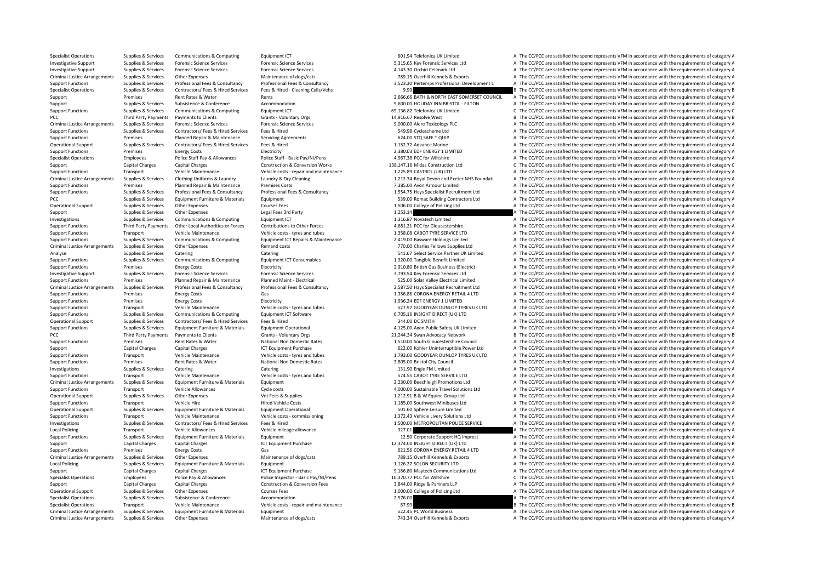Criminal Justice Arrangements Supplies & Services Other Expenses Maintenance of dogs/cats Maintenance of dogs/cats 743.34 Overhill Kennels & Exports A The CC/PCC are satisfied the spend represents VFM in accordance with th

Specialist Operations Supplies & Services Communications & Computing Equipment ICT 601.94 Telefonica UK Limited A The CC/PCC are satisfied the spend represents VFM in accordance with the requirements of category A Investigative Support Supplies & Services Forensic Science Services Forensic Science Services Forensic Science Services Forensic Science Services ervices Same 5,315.65 Key Forensic Services Ltd A The CC/PCC are satisfied t Investigative Support Supplies & Services Forensic Science Services Forensic Science Services Forensic Science Services Forensic Science Services Forensic Science Services Forensic Science Services A The CC/PCC are satisfi Criminal Justice Arrangements Supplies & Services Other Expenses Maintenance of dogs/cats Maintenance of dogs/cats 789.15 Overhill Kennels & Exports A The CC/PCC are satisfied the spend represents VFM in accordance with th Supplies & Services Professional Fees & Consultancy Professional Fees & Consultancy Professional Fees & Consultancy Professional Fees & Consultancy Professional Fees & Consultancy Professional Fees & Consultancy Profession Specialist Operations Supplies & Services Contractors/ Fees & Hired Services Fees & Hired - Cleaning Cells/Vehs 9.99 B The CC/PCC are satisfied the spend represents VFM in accordance with the requirements of category B The Support Premises Rent Rates & Water Rents Rents Rents Rents Rents Rents Rents Rents Rents Rents Rents Rents Rents Rents Rents Rents Rents Rents Rents Rents Rents Rents Rents Rents Rents Rents Rents Rents Rents Rents Rents Support Support Support Subsistence & Conference Accommodation and a services are accommodation and a service a service of a services of category A services Subsistence & Conference Accommodation and A Services and COPCC a Support Functions Supplies & Services Communications & Computing Equipment ICT equipment CT 69,136.82 Telefonica UK Limited C The CC/PCC are satisfied the spend represents VFM in accordance with the requirements of categor PCC Third Party Payments Payments to Clients Grants Voluntary Orgs Grants Voluntary Orgs 14,916.67 Resolve West B The CC/PCC are satisfied the spend represents VFM in accordance with the requirements of category B Criminal Justice Arrangements Supplies & Services Forensic Science Services Forensic Science Services Forensic Science Services Forensic Science Services Forensic Science Services (Figure 2010), D.O.D.O.D. Alere Toxicology Support Functions Support Functions Support Functions Contractors/ Fees & Hired Services Fees & Hired 549.98 Cyclescheme Ltd A The CC/PCC are satisfied the spend represents VFM in accordance with the requirements of catego Support Functions Premises Planned Repair & Maintenance Servicing Agreements 624.00 STQ SAFE T QUIP A The CC/PCC are satisfied the spend represents VFM in accordance with the requirements of category A Operational Support Supplies & Services Contractors/ Fees & Hired Services Fees & Hired 1,152.72 Advance Marine A The CC/PCC are satisfied the spend represents VFM in accordance with the requirements of category A Support Functions Premises Energy Costs Electricity Electricity Electricity and the costs Electricity Electricity and the costs and the costs are satisfied the spend represents VFM in accordance with the requirements of ca Specialist Operations Employees Police Staff Pay & Allowances Police Staff - Basic Pay/NI/Pens 4,967.38 PCC for Wiltshire A The CC/PCC are satisfied the spend represents VFM in accordance with the requirements of category Support Capital Charges Capital Charges Construction & Conversion Works 138,147.16 Midas Construction Ltd C The CC/PCC are satisfied the spend represents VFM in accordance with the requirements of category C Support Functions Transport Vehicle Maintenance Vehicle costs - repair and maintenance 1,225.89 CASTROL (UK) LTD A The CC/PCC are satisfied the spend represents VFM in accordance with the requirements of category A Criminal Justice Arrangements Supplies & Services Clothing Uniforms & Laundry Manufor Laundry & Dry Cleaning have a manufor the state of the Supplies and Exeter NHS Foundati A The CC/PCC are satisfied the spend represents Support Functions Premises Planned Repair & Maintenance Premises Costs 7,385.00 Avon Armour Limited A The CC/PCC are satisfied the spend represents VFM in accordance with the requirements of category A The CONCES are satis Support Functions Support Support Support of the Consultance of Consultance Professional Fees & Consultance Professional Fees & Consultance Professional Fees & Consultance Consultance Consultance and the CONSULTANCE ACCORD PCC Supplies & Services Equipment Furniture & Materials Foujoment Supplies Equipment 539.00 Romac Building Contractors Ltd A The CC/PCC are satisfied the spend represents VFM in accordance with the requirements of category Operational Support Support Support Support Other Expenses Courses Fees Courses Fees 1,506.00 College of Policing Ltd A The CC/PCC are satisfied the spend represents VFM in accordance with the requirements of category A Support Supplies & Services Other Expenses Legal Fees 3rd Party Legal Fees 3rd Party 1,253.14 A The CC/PCC are satisfied the spend represents VFM in accordance with the requirements of category A Investigations Supporters A The CC/PCC are satisfied the spend represents VFM in accordance with the requirements of category A Support Functions Third Party Payments Other Local Authorities or Forces Contributions to Other Forces states and the CONCE of Gloucestershire A The CC/PCC are satisfied the spend represents VFM in accordance with the requ Support Functions Transport Vehicle Maintenance Vehicle costs – tyres and tubes 1,358.08 CABOT TYRE SERVICE LTD A The CC/PCC are satisfied the spend represents VFM in accordance with the requirements of category A Supplies & Services Communications & Computing Equipment ICT Repairs & Maintenance 2,419.00 Basware Holdings Limited and The CC/PCC are satisfied the spend represents VFM in accordance with the requirements of category A C A The CC/PCC are satisfied the spend represents VFM in accordance with the requirements of category A Analyse Supplies & Services Catering Catering Catering Catering Catering Catering States Category A The CC/PCC are satisfied the spend represents VFM in accordance with the requirements of category A Supplies & Services Communications & Computing Equipment ICT Consumables 1.320.00 Tangible Benefit Limited A The CC/PCC are satisfied the spend represents VFM in accordance with the requirements of category A Support Functions Premises Energy Costs Energy Costs Electricity Electricity Electricity 2,910.80 British Gas Business (Electricity A The CC/PCC are satisfied the spend represents VFM in accordance with the requirements of A The CC/PCC are satisfied the spend represents VFM in accordance with the requirements of category A Support Functions Premises Planned Repair & Maintenance Planned Maint - Electrical 525.00 Solar Valley Electrical Limited A The CC/PCC are satisfied the spend represents VFM in accordance with the requirements of category Criminal lustice Arrangements Sunnlies & Services Professional Fees & Consultancy Professional Fees & Consultancy Professional Fees & Consultancy Professional Fees & Consultancy Professional Fees & Consultancy Professional Support Functions Premises Energy Costs Gas Gas Gas Function Cases CORONA ENERGY RETAIL 4 LTD A The CC/PCC are satisfied the spend represents VFM in accordance with the requirements of category A Support Functions Premises Energy Costs Electricity Electricity and the Support Electricity 1,936.24 EDF ENERGY 1 LIMITED A The CC/PCC are satisfied the spend represents VFM in accordance with the requirements of category Support Functions Transport Vehicle Maintenance Vehicle costs – tyres and tubes 527.97 GOODYEAR DUNLOP TYRES UK LTD A The CC/PCC are satisfied the spend represents VFM in accordance with the requirements of category A Supp Support Functions Supplies & Services Communications & Computing Equipment ICT Software 6,705.16 INSIGHT DIRECT (UK) LTD A The CC/PCC are satisfied the spend represents VFM in accordance with the requirements of category A Operational Support Supplies & Services Contractors/ Fees & Hired Services Fees & Hired Services Fees & Hired 344.00 DC SMITH A The CC/PCC are satisfied the spend represents VFM in accordance with the requirements of categ Supplies & Supplies & Supplies & Supplies & Supplies & Supplies & Factory of The Company of the company of the Company of the Company of the Company of the Company of the Company of the Company of the Company of the Compan PCC Third Party Payments Payments to Clients Grants Voluntary Orgs Grants Crants Crants Crants Crants Crients Grants Crants Crants Crants Crants Crants Crants Crants Crants Crants Crants Crants Crants Crants Crants Crants Support Functions Premises Rent Rates & Water National Non Domestic Rates 1,510.00 South Gloucestershire Council A The CC/PCC are satisfied the spend represents VFM in accordance with the requirements of category A Support Capital Charges Capital Charges Capital Charges ICT Equipment Purchase 622.00 Kohler Uninterruptible Power Ltd A The CC/PCC are satisfied the spend represents VFM in accordance with the requirements of category A Support Functions Transport Vehicle Maintenance Vehicle costs – tyres and tubes 1,793.00 GOODYEAR DUNLOP TYRES UK LTD A The CC/PCC are satisfied the spend represents VFM in accordance with the requirements of category A Su Premises Rent Rates & Water National Non Domestic Rates 3,805.00 Bristol City Council A The CC/PCC are satisfied the spend represents VFM in accordance with the requirements of category A Investigations Supplies & Services Catering Catering Catering Catering Catering Catering Catering Catering Catering Catering Catering Catering 131.90 Engile FM Limited A The CC/PCC are satisfied the spend represents VFM in Support Functions Transport Vehicle Maintenance Vehicle costs – tyres and tubes 574.55 CABOT TYRE SERVICE LTD A The CC/PCC are satisfied the spend represents VFM in accordance with the requirements of category A Criminal Justice Arrangements Sunnlies & Services Foujoment Furniture & Materials Foujoment Furniture & Materials Furniture and Furniture and Furniture and Fund to the COPCC are satisfied the spend represents VFM in accord Support Functions Transport Vehicle Allowances Cycle costs Cycle costs and the costs 4,000.00 Sustainable Travel Solutions Ltd A The CC/PCC are satisfied the spend represents VFM in accordance with the requirements of cate Operational Support Support Support Supporters Other Expenses Vet Fees & Supplies Vet Fees & Supplies 1,212.91 B & W Equine Group Ltd A The CC/PCC are satisfied the spend represents VFM in accordance with the requirements Support Functions Transport Vehicle Hire Hired Vehicle Costs Hired Vehicle Costs Hired Vehicle Costs Hired Vehicle Costs and the Costs and the costs and the costs and the costs of the costs and the costs of the costs and t Contract on the Supplies & Services Equipment Furniture & Materials Foujoment Operational Furniture Contract Contract Central Control of COPCC are satisfied the spend represents VEM in accordance with the requirements of c Support Functions Transport Vehicle Maintenance Vehicle costs - commissioning 1,372.43 Vehicle Livery Solutions Ltd A The CC/PCC are satisfied the spend represents VFM in accordance with the requirements of category A Investigations Supplies & Services Contractors/ Fees & Hired Services Fees & Hired 1,500.00 METROPOLITAN POLICE SERVICE A The CC/PCC are satisfied the spend represents VFM in accordance with the requirements of category A Local Policing School Transport Vehicle Allowances Vehicle mileage allowance Vehicle mileage allowance Vehicle mileage allowance 327.01 A The CC/PCC are satisfied the spend represents VFM in accordance with the requirement Support Functions Supplies & Services Fouloment Furniture & Materials Fouloment 12.50 Corporate Support HQ Imprest A The CC/PCC are satisfied the spend represents VFM in accordance with the requirements of category A Support Capital Charges Capital Charges Capital Charges ICT Equipment Purchase 12,374.00 INSIGHT DIRECT (UK) LTD B The CC/PCC are satisfied the spend represents VFM in accordance with the requirements of category B Support Functions Premises Energy Costs Gas Gas Gas and the Support Facture of the COPCC are satisfied the spend represents VFM in accordance with the requirements of category A Criminal Justice Arrangements Supplies & Services Other Expenses Maintenance of dogs/cats Maintenance of dogs/cats 789.15 Overhill Kennels & Exports A The CC/PCC are satisfied the spend represents VFM in accordance with th Local Policing Supplies & Services Equipment Furniture & Materials Equipment Equipment 1,126.27 SOLON SECURITY LTD A The CC/PCC are satisfied the spend represents VFM in accordance with the requirements of category A Capital Charges Capital Charges Capital Charges ICT Equipment Purchase 1CT Equipment Purchase 9,186.80 Maytech Communications Ltd A The CC/PCC are satisfied the spend represents VFM in accordance with the requirements of c Specialist Operations Employees Police Pay & Allowances Police Inspector - Basic Pay/NI/Pens 10,370.77 PCC for Wiltshire C The CC/PCC are satisfied the spend represents VFM in accordance with the requirements of category C Support Capital Charges Capital Charges Construction & Construction & Conversion Fees 3,844.00 Ridge & Partners LLP A The CC/PCC are satisfied the spend represents VFM in accordance with the requirements of category A Operational Support Supplies & Services Other Expenses Courses Fees Courses Fees 1,000.00 College of Policing Ltd A The CC/PCC are satisfied the spend represents VFM in accordance with the requirements of category A The CC The CC/PCC are satisfied the spend represents VFM in accordance with the requirements of category A Specialist Operations Transport Vehicle Maintenance Vehicle costs – repair and maintenance 87.99 87.99 B The CC/PCC are satisfied the spend represents VFM in accordance with the requirements of category B Criminal Justice Arrangements Supplies & Services Equipment Furniture & Materials Equipment Equipment Supplies A The CC/PCC are satisfied the spend represents VFM in accordance with the requirements of category A